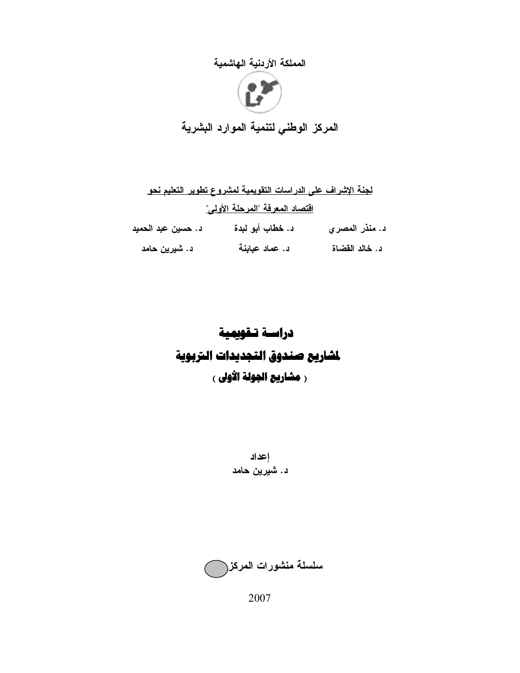# المملكة الأردنية الهاشمية



المركز الوطني لتنمية الموارد البشرية

|                                 | لجنة الإشراف على الدراسات التقويمية لمشروع تطوير التعليم نحو |                |  |  |  |  |
|---------------------------------|--------------------------------------------------------------|----------------|--|--|--|--|
| افتصاد المعرفة "المرحلة الأولى" |                                                              |                |  |  |  |  |
| د. حسين عبد الحميد              | د. خطاب أبو لبدة                                             | د. منذر المصري |  |  |  |  |
| د. شيرين حامد                   | د. عماد عبابنة                                               | د. خالد القضاة |  |  |  |  |

# دراسة تـقويمية لشاريع صندوق التجديدات التربوية ر مشاريع الجولة الأولى ،

إعداد د. شَيرين حامد



2007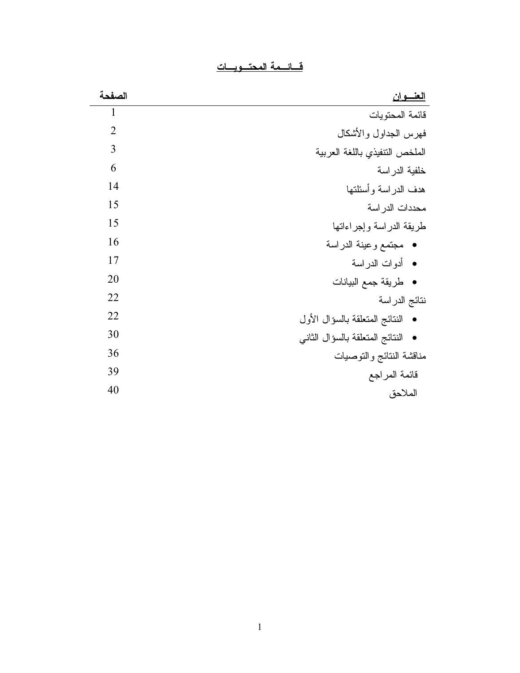| سد |  |  |  |
|----|--|--|--|
|    |  |  |  |

| الصفحة         | <u>العنسوان</u>                   |
|----------------|-----------------------------------|
| 1              | قائمة المحتويات                   |
| $\overline{2}$ | فهرس الجداول والأشكال             |
| 3              | الملخص النتفيذي باللغة العربية    |
| 6              | خلفية الدراسة                     |
| 14             | هدف الدراسة وأسئلتها              |
| 15             | محددات الدر اسة                   |
| 15             | طريقة الدراسة وإجراءاتها          |
| 16             | • مجتمع وعينة الدراسة             |
| 17             | • أدوات الدراسة                   |
| 20             | •   طريقة جمع البيانات            |
| 22             | نتائج الدراسة                     |
| 22             | • النتائج المتعلقة بالسؤال الأول  |
| 30             | • النتائج المتعلقة بالسؤال الثاني |
| 36             | مناقشة النتائج والتوصبات          |
| 39             | قائمة المراجع                     |
| 40             | الملاحق                           |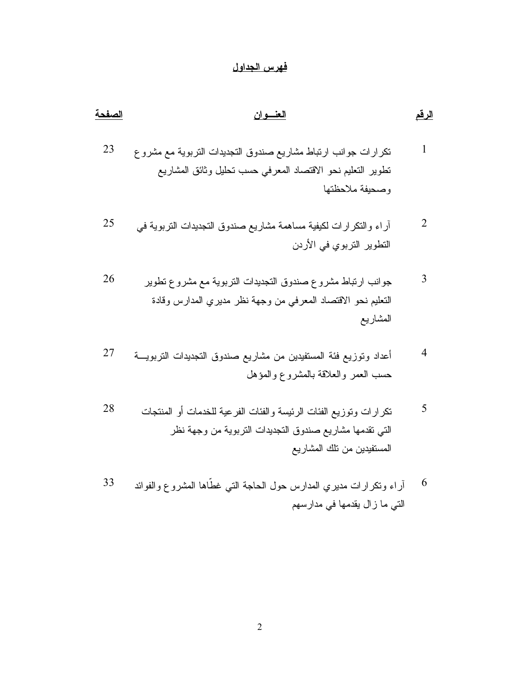# <u>فهرس الجداول</u>

| <u>الرقم</u> | <u>العنسوان</u>                                                                                                                                            | الصفحة |
|--------------|------------------------------------------------------------------------------------------------------------------------------------------------------------|--------|
| 1            | نكرارات جوانب ارتباط مشاريع صندوق النجديدات النزبوية مع مشروع<br>نطوير النعليم نحو الاقتصاد المعرفى حسب نحليل وثائق المشاريع<br>وصحيفة ملاحظتها            | 23     |
| 2            | أراء والنكرارات لكيفية مساهمة مشاريع صندوق التجديدات النربوية فمي<br>النطوير النزبوي في الأردن                                                             | 25     |
| 3            | جوانب ارتباط مشروع صندوق التجديدات التربوية مع مشروع تطوير<br>التعليم نحو الاقتصاد المعرفي من وجهة نظر مديري المدارس وقادة<br>المشاريع                     | 26     |
| 4            | أعداد وتوزيع فئة المستفيدين من مشاريع صندوق التجديدات التربويـــة<br>حسب العمر والعلاقة بالمشروع والمؤهل                                                   | 27     |
| 5            | نكرارات ونوزيع الفئات الرئيسة والفئات الفرعية للخدمات أو المنتجات<br>التي تقدمها مشاريع صندوق التجديدات التربوية من وجهة نظر<br>المستفيدين من نلك المشاريع | 28     |

آراء وتكرارات مديري المدارس حول الحاجة التي غطَّاها المشروع والفوائد  $6\,$ 33 التي ما زال يقدمها في مدارسهم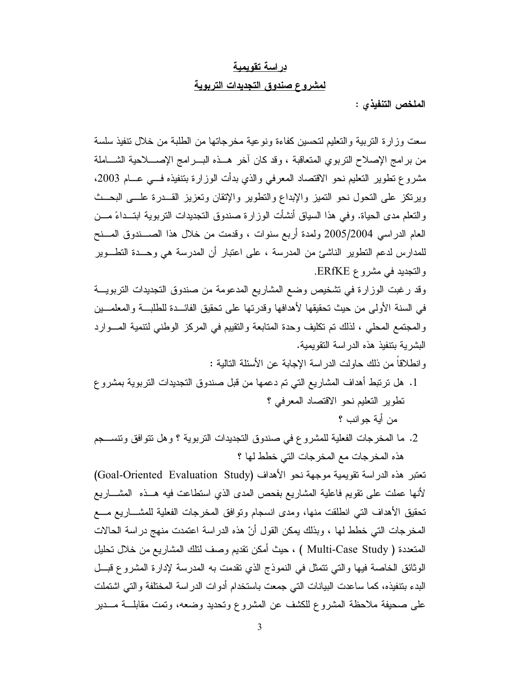### دراسة تقويمية

### لمشروع صندوق التجديدات التربوية

الملخص التنفيذي :

سعت وز ار ة التربية والتعليم لتحسين كفاءة ونو عية مخر جاتها من الطلبة من خلال نتفيذ سلسة من برامج الإصلاح التربوي المتعاقبة ، وقد كان أخر هــذه البـــرامج الإصــــلاحية الشـــاملة مشروع نطوير النعليم نحو الاقتصاد المعرفي والذي بدأت الوزارة بتنفيذه فسي عسام 2003، ويرتكز على التحول نحو التميز والإبداع والتطوير والإتقان وتعزيز القسدرة علسى البحث والنعلم مدى الحياة. وفي هذا السياق أنشأت الوزارة صندوق التجديدات النربوية ابتــداءً مـــن العام الدراسي 2005/2004 ولمدة أربع سنوات ، وقدمت من خلال هذا الصـــندوق المـــنح للمدارس لدعم النظوير الناشئ من المدرسة ، على اعتبار أن المدرسة هي وحــدة النطـــوير والنجديد في مشروع ERfKE.

وقد رغبت الوزارة في تشخيص وضع المشاريع المدعومة من صندوق التجديدات التربويـــة في السنة الأولى من حيث تحقيقها لأهدافها وقدرتها على تحقيق الفائـــدة للطلبـــة والمعلمـــين والمجتمع المحلي ، لذلك نم نكليف وحدة المتابعة والتقييم في المركز الوطني لنتمية المسوارد البشر بة بنتفيذ هذه الدر اسة النقو بمية.

و انطلاقاً من ذلك حاولت الدر اسة الإجابة عن الأسئلة التالية :

1. هل ترتبط أهداف المشاريع التي تم دعمها من قبل صندوق التجديدات التربوية بمشروع نطوير النعليم نحو الاقتصاد المعرفي ؟

من أية جو انب ؟

2. ما المخرجات الفعلية للمشروع في صندوق النجديدات النربوية ؟ وهل نتوافق ونتســـجم هذه المخرجات مع المخرجات التي خطط لها ؟

تعتبر هذه الدراسة تقويمية موجهة نحو الأهداف (Goal-Oriented Evaluation Study) لأنها عملت على نقويم فاعلية المشاريع بفحص المدى الذي استطاعت فيه هــذه المشـــاريع تحقيق الأهداف التبي انطلقت منها، ومدى انسجام وتوافق المخرجات الفعلية للمشـــاريع مــــع المخرجات التي خطط لها ، وبذلك يمكن القول أنّ هذه الدراسة اعتمدت منهج دراسة الحالات المتعددة ( Multi-Case Study ) ، حيث أمكن نقديم وصف لنلك المشاريع من خلال تحليل الوثائق الخاصة فيها والتي نتمثل في النموذج الذي نقدمت به المدرسة لإدارة المشروع قبـــل البدء بتنفيذه، كما ساعدت البيانات التي جمعت باستخدام أدوات الدراسة المختلفة والتي اشتملت على صحيفة ملاحظة المشروع للكشف عن المشروع ونحديد وضعه، ونَّمت مقابلـــة مـــدير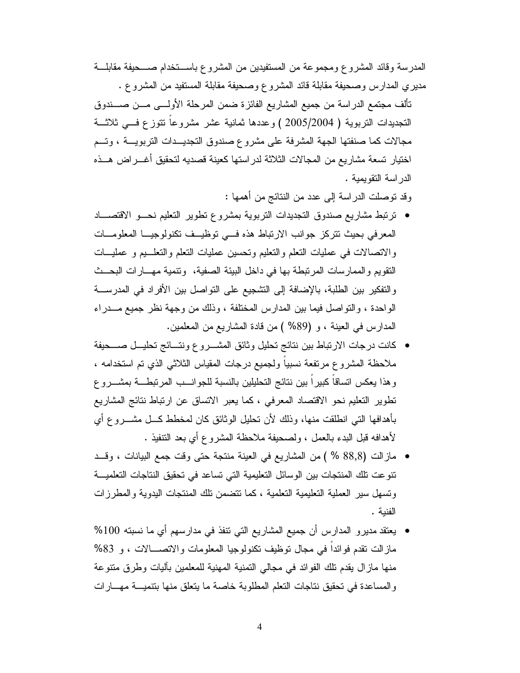المدرسة وقائد المشروع ومجموعة من المستفيدين من المشروع باســـنخدام صــــحيفة مقابلـــة مديري المدارس وصحيفة مقابلة قائد المشروع وصحيفة مقابلة المستفيد من المشروع .

تألف مجتمع الدراسة من جميع المشاريع الفائزة ضمن المرحلة الأولـــي مـــن صــــندوق التجديدات النزبوية ( 2005/2004 ) وعددها ثمانية عشر مشروعاً نتوزع فسي ثلاثــة مجالات كما صنفتها الجهة المشرفة على مشروع صندوق التجديــدات التربويـــة ، وتـــم اختيار نسعة مشاريع من المجالات الثلاثة لدر استها كعينة قصديه لتحقيق أغـــر اض هـــذه الدر اسة التقويمية .

وقد توصلت الدر اسة إلى عدد من النتائج من أهمها :

- ترتبط مشاريع صندوق التجديدات التربوية بمشروع تطوير التعليم نحسو الاقتصساد المعرفي بحيث نتركز جوانب الارتباط هذه في توظيف تكنولوجيا المعلومات والاتصالات في عمليات النعلم والنعليم ونحسين عمليات النعلم والنعلـــيم و عمليـــات النقويم والممارسات المرتبطة بها في داخل البيئة الصفية، ونتمية مهـــارات البحــث والتفكير بين الطلبة، بالإضافة إلى التشجيع على التواصل بين الأفراد في المدرسـة الواحدة ، والنواصل فيما بين المدارس المختلفة ، وذلك من وجهة نظر جميع مـــدراء المدارس في العينة ، و (89% ) من قادة المشاريع من المعلمين.
- كانت درجات الارتباط بين نتائج تحليل وثائق المشـــروع ونتـــائج تحليـــل صــــحيفة ملاحظة المشروع مرتفعة نسبياً ولجميع درجات المقياس الثلاثي الذي تم استخدامه ، وهذا يعكس اتساقاً كبيراً بين نتائج التحليلين بالنسبة للجوانـــب المرتبطـــة بمشـــروع نطوير النعليم نحو الاقتصاد المعرفي ، كما يعبر الانساق عن ارتباط نتائج المشاريع بأهدافها التبي انطلقت منها، وذلك لأن تحليل الوثائق كان لمخطط كـــل مشــــروع أي لأهدافه قبل البدء بالعمل ، ولصحيفة ملاحظة المشروع أي بعد النتفيذ .
- مازالت (88٫8 % ) من المشاريع في العينة منتجة حتى وقت جمع البيانات ، وقــد تنوعت تلك المنتجات بين الوسائل التعليمية التي تساعد في تحقيق النتاجات التعلميـــة ونسهل سير العملية النعليمية النعلمية ،كما نتضمن نلك المنتجات البدوية والمطرزات الفنبة .
- يعتقد مديرو المدارس أن جميع المشاريع التي نتفذ في مدارسهم أي ما نسبته 100% مازالت نقدم فوائدا في مجال نوظيف نكنولوجيا المعلومات والاتصـــالات ، و 83% منها مازال يقدم نلك الفوائد في مجالي النمنية المهنية للمعلمين بآليات وطرق منتوعة والمساعدة في تحقيق نتاجات النعلم المطلوبة خاصة ما يتعلق منها بتتميـــة مهـــارات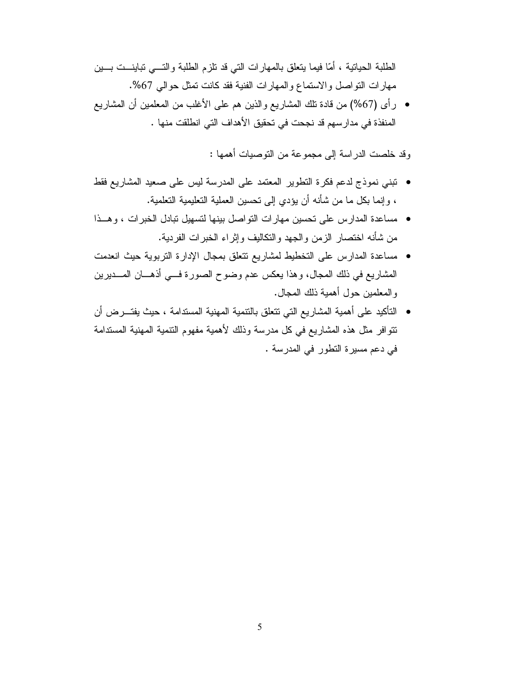الطلبة الحياتية ، أمّا فيما يتعلق بالمهارات التي قد نلزم الطلبة والتـــي تباينـــت بـــين مهارات النواصل والاستماع والمهارات الفنية فقد كانت نمثل حوالي 67%.

• رأى (67%) من قادة نلك المشاريع والذين هم على الأغلب من المعلمين أن المشاريع المنفذة في مدار سهم قد نجحت في تحقيق الأهداف التي انطلقت منها .

وقد خلصت الدراسة إلى مجموعة من التوصيات أهمها :

- نبني نموذج لدعم فكرة النطوير المعتمد على المدرسة ليس على صعيد المشاريع فقط ، وإنما بكل ما من شأنه أن يؤدي إلى نحسين العملية التعليمية التعلمية.
- مساعدة المدارس على نحسين مهارات النواصل بينها لنسهيل نبادل الخبرات ، وهــذا من شأنه اختصار الزمن والجهد والنكاليف وإثراء الخبرات الفردية.
- مساعدة المدارس على التخطيط لمشاريع نتعلق بمجال الإدارة التربوية حيث انعدمت المشاريع في ذلك المجال، وهذا يعكس عدم وضوح الصورة فسي أذهـــان المـــديرين و المعلمين حول أهمية ذلك المجال.
- التأكيد على أهمية المشاريع التي نتعلق بالنتمية المهنية المستدامة ، حيث يفتـــرض أن تتوافر مثل هذه المشاريع في كل مدرسة وذلك لأهمية مفهوم التتمية المهنية المستدامة في دعم مسيرة النطور في المدرسة .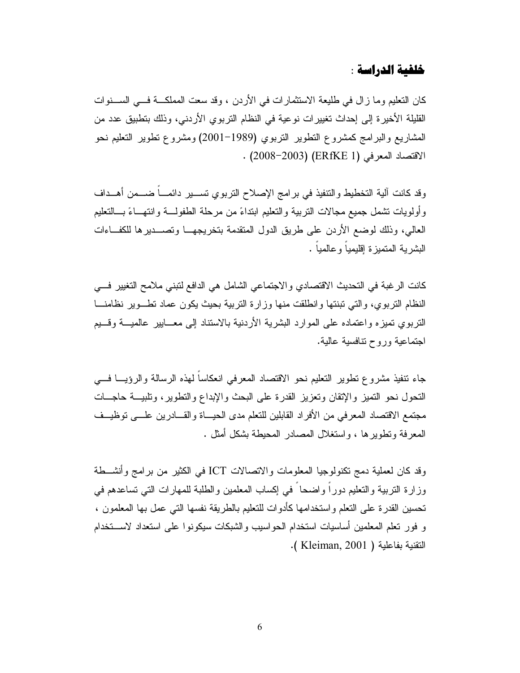# خلفية الدراسة :

كان التعليم وما زال في طليعة الاستثمارات في الأردن ، وقد سعت المملكـــة فـــي الســـنوات القليلة الأخيرة إلى إحداث تغييرات نوعية في النظام التربوي الأردني، وذلك بتطبيق عدد من المشاريع والبرامج كمشروع النطوير النربوي (1989–2001) ومشروع نطوير النعليم نحو الاقتصاد المعرفي (ERfKE 1) (2008-2003) .

وقد كانت آلية التخطيط والتنفيذ في برامج الإصلاح التربوي تســــير دائمــــاً ضــــمن أهـــداف و أولويات نشمل جميع مجالات التربية والتعليم ابتداءً من مر حلة الطفولـــة و انتهـــاءً بـــالتعليم العالي، وذلك لوضع الأردن على طريق الدول المنقدمة بتخريجهــا وتصـــديرها للكفـــاءات البشر بة المتميزة إقليميا وعالميا .

كانت الرغبة في التحديث الاقتصادي والاجتماعي الشامل هي الدافع لتبني ملامح التغيير في النظام التربوي، والتبي تبنتها وإنطلقت منها وزارة التربية بحيث يكون عماد تطـوير نظامنـــا النزبوي تميزه واعتماده على الموارد البشرية الأردنية بالاستناد إلى معـــابير عالميـــة وقـــيم اجتماعية وروح نتافسية عالية.

جاء تتفيذ مشروع نظوير التعليم نحو الاقتصاد المعرفي انعكاساً لمهذه الرسالة والرؤيسا فسي النحول نحو النميز والإنقان وتعزيز القدرة على البحث والإبداع والنطوير، ونلبيــة حاجـــات مجتمع الاقتصاد المعرفي من الأفراد القابلين للتعلم مدى الحيـــاة والقـــادرين علـــي توظيــف المعرفة ونطويرها ، واستغلال المصادر المحيطة بشكل أمثل .

وقد كان لعملية دمج نكنولوجيا المعلومات والاتصالات ICT في الكثير من برامج وأنشـــطة وزارة النربية والتعليم دوراً واضحاً في إكساب المعلمين والطلبة للمهارات التي نساعدهم في تحسين القدرة على النعلم واستخدامها كأدوات للنعليم بالطريقة نفسها التي عمل بها المعلمون ، و فور تعلم المعلمين أساسيات استخدام الحواسيب والشبكات سيكونوا على استعداد لاستخدام -( Kleiman, 2001 ). التقنية بفاعلية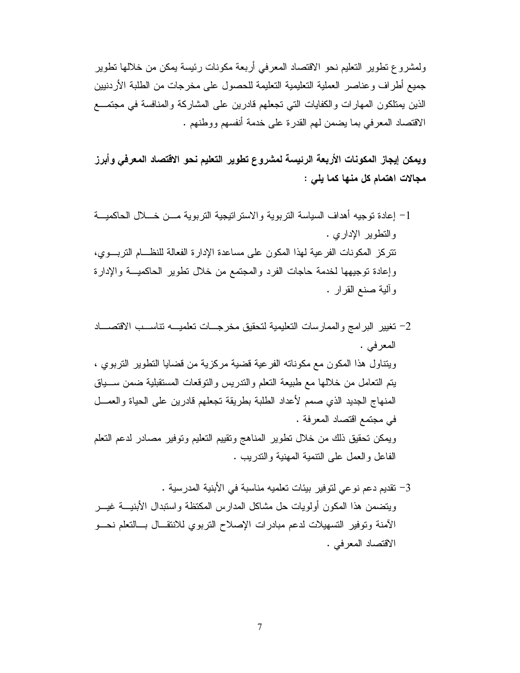ولمشروع نطوير التعليم نحو الاقتصاد المعرفي أربعة مكونات رئيسة يمكن من خلالها نطوير جميع أطراف وعناصر العملية التعليمية التعليمة للحصول على مخرجات من الطلبة الأردنيين الذين يمتلكون المهارات والكفايات التي تجعلهم قادرين على المشاركة والمنافسة في مجتمــع الاقتصاد المعرفي بما يضمن لهم القدرة على خدمة أنفسهم ووطنهم .

ويمكن إيجاز المكونات الأربعة الرئيسة لمشروع تطوير التعليم نحو الاقتصاد المعرفي وأبرز مجالات اهتمام كل منها كما يلي :

- 1– إعادة نوجيه أهداف السياسة التربوية والاسترانتيجية التربوية مـــن خــــلال الحاكميـــة والنطوير الإداري . تتركز المكونات الفرعية لهذا المكون على مساعدة الإدارة الفعالة للنظــام التربـــوي، وإعادة نوجيهها لخدمة حاجات الفرد والمجتمع من خلال نطوير الحاكميـــة والإدارة وألية صنع القرار .
- 2– نغيير البرامج والممارسات التعليمية لتحقيق مخرجـــات تعلميــــه تناســـب الاقتصــــاد المعرفي . ويتناول هذا المكون مع مكوناته الفرعية فضية مركزية من فضايا التطوير التربوي ، يتم التعامل من خلالها مع طبيعة النعلم والندريس والنوفعات المستقبلية ضمن ســـياق المنهاج الجديد الذي صمم لأعداد الطلبة بطريقة تجعلهم قادرين على الحياة والعمـــل في مجتمع اقتصاد المعرفة . ويمكن تحقيق ذلك من خلال نطوير المناهج وتقييم النعليم ونوفير مصادر لدعم النعلم الفاعل والعمل على النتمية المهنية والندريب .
- 3– تقديم دعم نوعي لتوفير بيئات تعلميه مناسبة في الأبنية المدرسية . ويتضمن هذا المكون أولويات حل مشاكل المدارس المكنظة واستبدال الأبنيـــة غيـــر الأمنة وتوفير التسهيلات لدعم مبادرات الإصلاح النربوي للانتقــال بـــالتعلم نحـــو الاقتصاد المعرفي .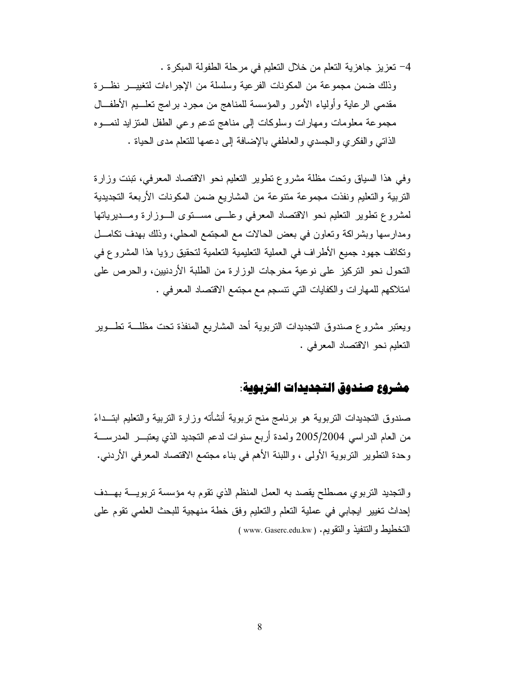4– تعزيز جاهزية التعلم من خلال التعليم في مرحلة الطفولة المبكرة . وذلك ضمن مجموعة من المكونات الفرعية وسلسلة من الإجراءات لتغييــــر نظــــرة مقدمي الرعاية وأولياء الأمور والمؤسسة للمناهج من مجرد برامج تعلسيم الأطفــال مجموعة معلومات ومهارات وسلوكات إلى مناهج ندعم وعى الطفل المنزايد لنمـوه الذاتي والفكري والجسدي والعاطفي بالإضافة إلى دعمها للنعلم مدى الحياة .

وفي هذا السياق وتحت مظلة مشروع تطوير التعليم نحو الاقتصاد المعرفي، تبنت وزارة التربية والتعليم ونفذت مجموعة متنوعة من المشاريع ضمن المكونات الأربعة التجديدية لمشروع تطوير النعليم نحو الاقتصاد المعرفى وعلسى مستوى السوزارة ومسديرياتها ومدارسها وبشراكة وتعاون في بعض الحالات مع المجتمع المحلي، وذلك بهدف تكامـــل وتكاثف جهود جميع الأطراف في العملية التعليمية التعلمية لتحقيق رؤيا هذا المشروع في النحول نحو النركيز على نوعية مخرجات الوزارة من الطلبة الأردنبين، والحرص على امتلاكهم للمهارات والكفايات التي نتسجم مع مجتمع الاقتصاد المعرفي .

ويعتبر مشروع صندوق التجديدات النزبوية أحد المشاريع المنفذة نحت مظلـــة نطـــوير التعليم نحو الاقتصاد المعرفي .

# مشروع صندوق التجديدات التربوية:

صندوق التجديدات النربوية هو برنامج منح نربوية أنشأته وزارة النربية والتعليم ابتــداءً من العام الدراسي 2005/2004 ولمدة أربع سنوات لدعم النجديد الذي يعتبـــر المدرســــة وحدة النطوير النربوية الأولىي ، واللبنة الأهم في بناء مجتمع الاقتصاد المعرفي الأردني.

والتجديد النزبوي مصطلح يقصد به العمل المنظم الذي نقوم به مؤسسة نزبويـــة بهـــدف إحداث تغيير ايجابي في عملية النعلم والنعليم وفق خطة منهجية للبحث العلمي نقوم على التخطيط والتنفيذ والنقويم. ( www. Gaserc.edu.kw )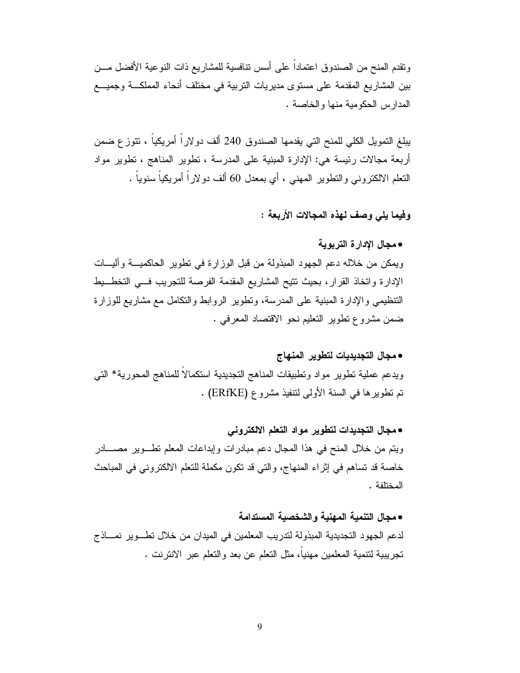ونقدم المنح من الصندوق اعتماداً على أسس نتافسية للمشاريع ذات النوعية الأفضل مـــن بين المشاريع المقدمة على مستوى مديريات التربية في مختلف أنحاء المملكـــة وجميــــع المدارس الحكومية منها والخاصة.

يبلغ التمويل الكلي للمنح التي يقدمها الصندوق 240 ألف دولاراً أمريكياً ، تتوزع ضمن أربعة مجالات رئيسة هي: الإدارة المبنية على المدرسة ، تطوير المناهج ، تطوير مواد النعلم الالكترونـي والنطوير المـهنـي ، أي بمعدل 60 ألف دولاراً أمريكياً سنوياً .

وفيما بلي وصف لهذه المجالات الأربعة :

• محال الإدار ة التربوية

ويمكن من خلاله دعم الجهود المبذولة من قبل الوزارة في نطوير الحاكميـــة وآليـــات الإدارة واتخاذ القرار، بحيث نتيح المشاريع المقدمة الفرصة للنجريب في التخط يط النتظيمي والإدارة المبنية على المدرسة، ونطوير الروابط والنكامل مع مشاريع للوزارة ضمن مشروع نطوير النعليم نحو الاقتصاد المعرفي .

• مجال التجديديات لتطوير المنهاج ويدعم عملية نطوير مواد ونطبيقات المناهج النجديدية استكمالا للمناهج المحورية\* النبي تم تطوير ها في السنة الأولى لتتفيذ مشروع (ERfKE) .

• مجال التجديدات لتطوير مواد التعلم الالكتروني ويتم من خلال المنح في هذا المجال دعم مبادرات وإبداعات المعلم تطــوير مصــــادر خاصة قد تساهم في إثراء المنهاج، والتي قد تكون مكملة للنعلم الالكتروني في المباحث المختلفة .

• مجال التنمية المهنية والشخصية المستدامة لدعم الجهود التجديدية المبذولة لتدريب المعلمين في الميدان من خلال نطـوير نمـــاذج تجريبية لتنمية المعلمين مهنيا، مثل التعلم عن بعد والتعلم عبر الانترنت .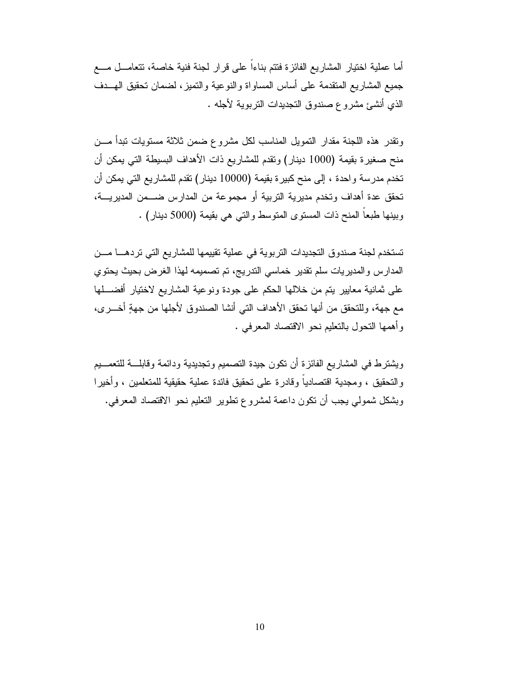أما عملية اختيار المشاريع الفائزة فتتم بناءاً على قرار لجنة فنية خاصة، تتعامـــل مـــع جميع المشاريع المنقدمة على أساس المساواة والنوعية والنميز، لضمان نحقيق الهــدف الذي أنشئ مشروع صندوق التجديدات التربوية لأجله .

ونقدر هذه اللجنة مقدار النمويل المناسب لكل مشروع ضمن ثلاثة مستويات تبدأ مـــن منح صغيرة بقيمة (1000 دينار) ونقدم للمشاريع ذات الأهداف البسيطة التي يمكن أن تخدم مدرسة وإحدة ، إلى منح كبير ة بقيمة (10000 دينار) تقدم للمشاريع التي يمكن أن تحقق عدة أهداف وتخدم مديرية التربية أو مجموعة من المدارس ضـــمن المديريـــة، وبينها طبعاً المنح ذات المستوى المتوسط والتبي هي بقيمة (5000 دينار) .

تستخدم لجنة صندوق التجديدات التربوية في عملية تقييمها للمشاريع التي تردهـــا مـــن المدارس والمديريات سلم نقدير خماسي الندريج، نم نصميمه لهذا الغرض بحيث يحتوي على ثمانية معايير يتم من خلالها الحكم على جودة ونوعية المشاريع لاختيار أفضــــلها مع جهة، وللتحقق من أنها نحقق الأهداف التي أنشا الصندوق لأجلها من جهةٍ أخــــرى، وأهمها النحول بالنعليم نحو الاقتصاد المعرفي .

ويشترط في المشاريع الفائزة أن نكون جيدة النصميم وتجديدية ودائمة وقابلـــة للنعمـــيم والتحقيق ، ومجدية اقتصادياً وقادرة على تحقيق فائدة عملية حقيقية للمتعلمين ، وأخيرا وبشكل شمولي يجب أن نكون داعمة لمشروع نطوير النعليم نحو الاقتصاد المعرفي.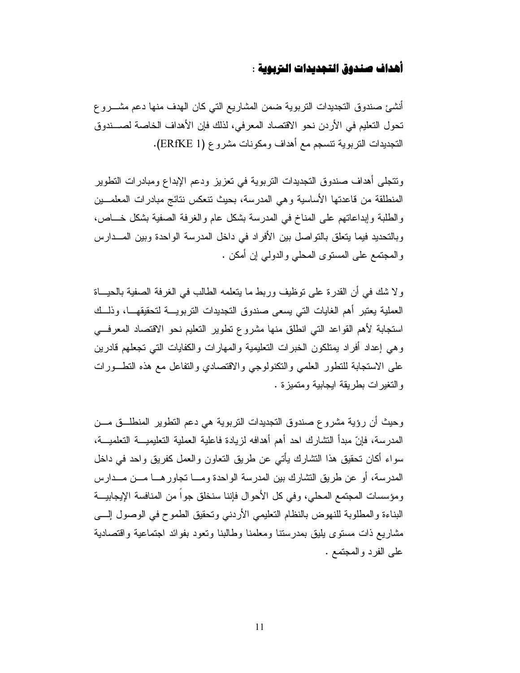# أهداف صندوق التجديدات التربوية :

أنشئ صندوق التجديدات النزبوية ضمن المشاريع التي كان الهدف منها دعم مشـــروع تحول التعليم في الأردن نحو الاقتصاد المعرفي، لذلك فإن الأهداف الخاصة لصـــندوق النجديدات النربوية نتسجم مع أهداف ومكونات مشروع (ERfKE 1).

ونتجلى أهداف صندوق التجديدات التربوية في تعزيز ودعم الإبداع ومبادرات التطوير المنطلقة من فاعدتها الأساسية وهي المدرسة، بحيث تنعكس نتائج مبادرات المعلمــين والطلبة وإبداعاتهم على المناخ في المدرسة بشكل عام والغرفة الصفية بشكل خـــاص، وبالتحديد فيما يتعلق بالتواصل بين الأفراد في داخل المدرسة الواحدة وبين المــدارس والمجتمع على المستوى المحلي والدولمي إن أمكن .

و لا شك في أن القدرة على نوظيف وربط ما يتعلمه الطالب في الغرفة الصفية بالحيــاة العملية يعتبر أهم الغايات التي يسعى صندوق التجديدات التربويسة لتحقيقهسا، وذلسك استجابة لأهم القواعد التي انطلق منها مشروع تطوير التعليم نحو الاقتصاد المعرفي وهي إعداد أفراد بمتلكون الخبرات التعليمية والمهارات والكفايات التي تجعلهم قادرين على الاستجابة للتطور العلمي والتكنولوجي والاقتصادي والتفاعل مع هذه التطـورات و النغير ات بطر يقة ايجابية ومنميز ة .

وحيث أن رؤية مشروع صندوق التجديدات التربوية هي دعم التطوير المنطلـــق مـــن المدرسة، فإنّ مبدأ التشارك احد أهم أهدافه لزيادة فاعلية العملية التعليميـــة التعلميـــة، سواء أكان تحقيق هذا النشارك يأتي عن طريق النعاون والعمل كفريق واحد في داخل المدرسة، أو عن طريق النشارك بين المدرسة الواحدة ومـــا نجاورهـــا مـــن مـــدارس ومؤسسات المجتمع المحلي، وفي كل الأحوال فإننا سنخلق جوا من المنافسة الإيجابيـــة البناءة والمطلوبة للنهوض بالنظام التعليمي الأردنبي وتحقيق الطموح فبي الوصول السي مشاريع ذات مستوى يليق بمدرستنا ومعلمنا وطالبنا ونعود بفوائد اجتماعية وإقتصادية على الفرد والمجتمع .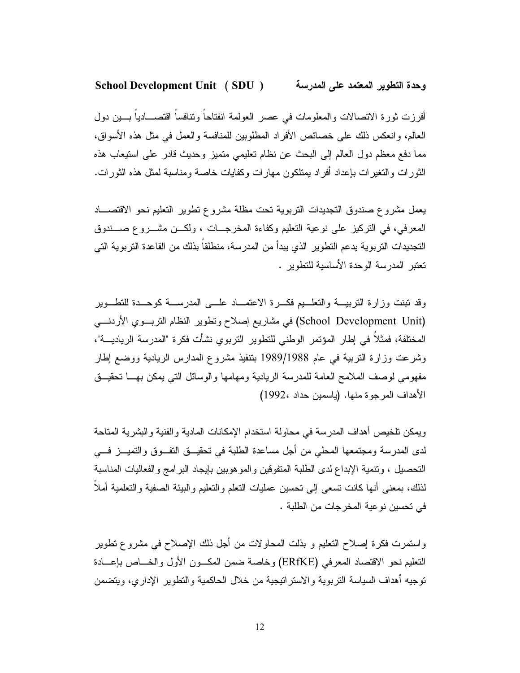#### **School Development Unit (SDU)** وحدة التطوير المعتمد على المدرسة

أفرزت ثورة الاتصالات والمعلومات في عصر العولمة انفتاحاً وتنافساً اقتصـــادياً بـــين دول العالم، وإنعكس ذلك على خصائص الأفراد المطلوبين للمنافسة والعمل في مثل هذه الأسواق، مما دفع معظم دول العالم إلى البحث عن نظام تعليمي متميز وحديث قادر على استيعاب هذه الثور ات والتغير ات بإعداد أفر اد بمتلكون مهار ات وكفايات خاصة ومناسبة لمثل هذه الثور ات.

يعمل مشروع صندوق التجديدات التربوية تحت مظلة مشروع نطوير التعليم نحو الاقتصـــاد المعرفي، في التركيز على نوعية التعليم وكفاءة المخرجـــات ، ولكـــن مشــــروع صــــندوق التجديدات التربوية يدعم التطوير الذي يبدأ من المدرسة، منطلقا بذلك من القاعدة التربوية التي تعتبر المدرسة الوحدة الأساسبة للتطوير .

وقد نبنت وزارة التربيسة والتعلسيم فكسرة الاعتمساد علسى المدرسسة كوحسدة للتطسوير (School Development Unit) في مشاريع إصلاح ونطوير النظام التربــوي الأردنـــي المختلفة، فمثلاً في إطار المؤتمر الوطني للتطوير التربوي نشأت فكرة "المدرسة الرياديـــة"، وشرعت وزارة النربية في عام 1989/1988 بتنفيذ مشروع المدارس الريادية ووضع إطار مفهومي لوصف الملامح العامة للمدرسة الريادية ومهامها والوسائل التي يمكن بهــا تحقيــق الأهداف المرجوة منها. (ياسمين حداد ،1992)

ويمكن نلخيص أهداف المدرسة في محاولة استخدام الإمكانات المادية والفنية والبشرية المتاحة لدى المدرسة ومجتمعها المحلَّى من أجل مساعدة الطلبة في تحقيـــق التفـــوق والتميـــز فــــي التحصيل ، ونتمية الإبداع لدى الطلبة المتفوفين والموهوبين بإيجاد البرامج والفعاليات المناسبة لذلك، بمعنى أنها كانت تسعى إلى تحسين عمليات النعلم والنعليم والبيئة الصفية والنعلمية أملأً في تحسين نو عبة المخر جات من الطلبة .

واستمرت فكرة إصلاح النعليم و بذلت المحاولات من أجل ذلك الإصلاح في مشروع نطوير النعليم نحو الاقتصاد المعرفي (ERfKE) وخاصة ضمن المكــون الأول والخـــاص بإعـــادة توجيه أهداف السياسة التر بوية والاستر اتيجية من خلال الحاكمية والتطوير الإدار ي، ويتضمن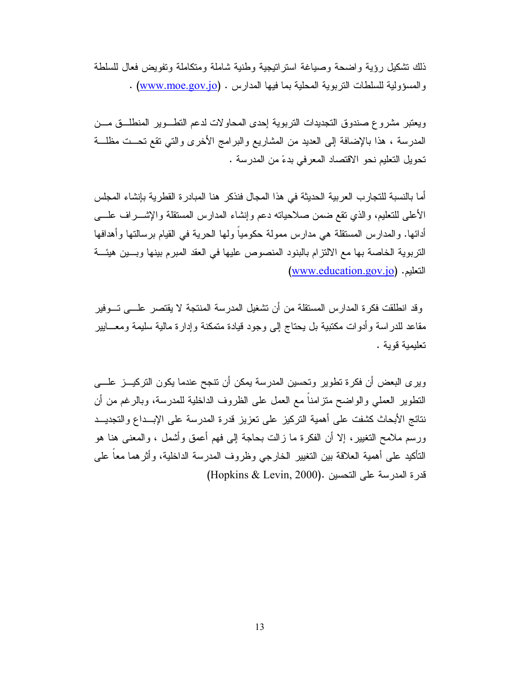ذلك نشكيل رؤية واضحة وصياغة استراتيجية وطنية شاملة ومتكاملة وتفويض فعال للسلطة . والمسؤولية للسلطات النربوية المحلية بما فيها المدارس . (www.moe.gov.jo) .

ويعتبر مشروع صندوق التجديدات التربوية إحدى المحاولات لدعم التطــوير المنطلــق مـــن المدرسة ، هذا بالإضافة إلى العديد من المشاريع والبرامج الأخرى والتي تقع تحــت مظلـــة تحويل التعليم نحو الاقتصاد المعرفي بدءً من المدرسة .

أما بالنسبة للتجار ب العر بية الحديثة في هذا المجال فنذكر ٍ هنا المبادر ة القطر ية بإنشاء المجلس الأعلى للتعليم، والذي نقع ضمن صلاحياته دعم وإنشاء المدارس المستقلة والإشــراف علـــى أدائها. و المدار س المستقلة هي مدار س ممولة حكومياً و لها الحرية في القيام بر سالتها و أهدافها النَّزبوية الخاصة بها مع الالتزام بالبنود المنصوص عليها في العقد المبرم بينها وبسين هيئة (www.education.gov.jo) التعليم.

وقد انطلقت فكرة المدارس المستقلة من أن نشغيل المدرسة المنتجة لا يقتصر علـــي تـــوفير مقاعد للدر اسة وأدوات مكتبية بل يحتاج إلى وجود قيادة متمكنة وإدارة مالية سليمة ومعـــابير تعليمية قوية .

ويرى البعض أن فكرة تطوير وتحسين المدرسة يمكن أن نتجح عندما يكون التركيـــز علــــى النطوير العملي والواضح منزامناً مع العمل على الظروف الداخلية للمدرسة، وبالرغم من أن نتائج الأبحاث كشفت على أهمية التركيز على تعزيز قدرة المدرسة على الإبــداع والتجديـــد ورسم ملامح النغيير، إلا أن الفكرة ما زالت بحاجة إلى فهم أعمق وأشمل ، والمعنى هنا هو النأكيد على أهمية العلاقة بين التغيير الخارجي وظروف المدرسة الداخلية، وأثرهما معاً على فدرة المدرسة على التحسين . (Hopkins & Levin, 2000)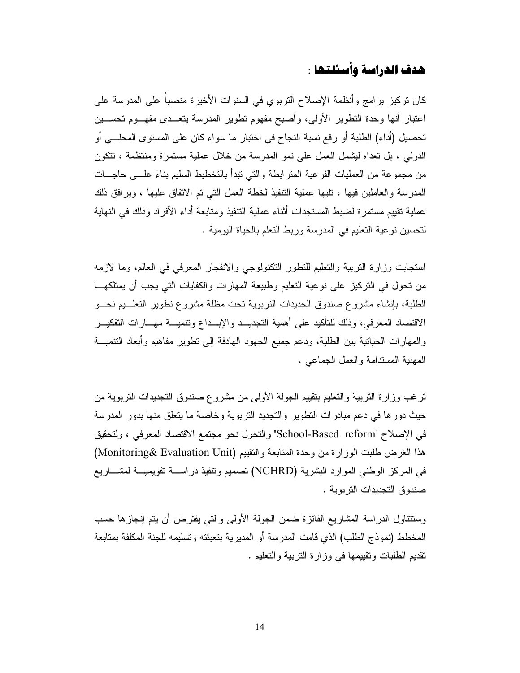# هدف الدراسة وأسئلتها :

كان نركيز برامج وأنظمة الإصلاح النربوي في السنوات الأخيرة منصباً على المدرسة على اعتبار أنها وحدة التطوير الأولى، وأصبح مفهوم نطوير المدرسة يتعــدى مفهــوم تحســين تحصيل (أداء) الطلبة أو رفع نسبة النجاح في اختبار ما سواء كان على المستوى المحلـــى أو الدولمي ، بل نعداه ليشمل العمل على نمو المدرسة من خلال عملية مستمرة ومنتظمة ، تتكون من مجموعة من العمليات الفر عية المتر ابطة والتي تبدأ بالتخطيط السليم بناءً علـــى حاجـــات المدر سة والعاملين فيها ، تليها عملية التتفيذ لخطة العمل التي تم الاتفاق عليها ، وير افق ذلك عملية نقييم مستمر ة لضبط المستجدات أثناء عملية التنفيذ ومتابعة أداء الأفر اد وذلك في النهاية لتحسين نوعية التعليم في المدرسة وربط التعلم بالحياة اليومية .

استجابت وزارة النربية والتعليم للتطور النكنولوجي والانفجار المعرفي في العالم، وما لازمه من تحول في التركيز على نوعية التعليم وطبيعة المهارات والكفايات التي يجب أن يمتلكهـــا الطلبة، بإنشاء مشروع صندوق الجديدات التربوية نحت مظلة مشروع تطوير التعلسيم نحسو الاقتصاد المعرفي، وذلك للتأكيد على أهمية التجديــد والإبــداع وتنميـــة مهـــارات التفكيــر والمهارات الحيانية بين الطلبة، ودعم جميع الجهود الهادفة إلى نطوير مفاهيم وأبعاد النتميـــة المهنية المستدامة والعمل الجماعي .

ترغب وزارة التربية والتعليم بتقييم الجولة الأولى من مشروع صندوق التجديدات التربوية من حيث دورها في دعم مبادرات التطوير والتجديد التربوية وخاصة ما يتعلق منها بدور المدرسة في الإصلاح "School-Based reform" والتحول نحو مجتمع الاقتصاد المعرفي ، ولتحقيق هذا الغرض طلبت الوزارة من وحدة المتابعة والتقييم (Monitoring& Evaluation Unit) في المركز الوطني الموارد البشرية (NCHRD) تصميم وتنفيذ دراســـة تقويميـــة لمشـــاريـع صندو ق التجديدات التربوية .

وستتناول الدراسة المشاريع الفائزة ضمن الجولة الأولى والتي يفترض أن يتم إنجازها حسب المخطط (نموذج الطلب) الذي قامت المدرسة أو المديرية بتعبئته وتسليمه للجنة المكلفة بمتابعة نقديم الطلبات ونقييمها في وزارة النربية والنعليم .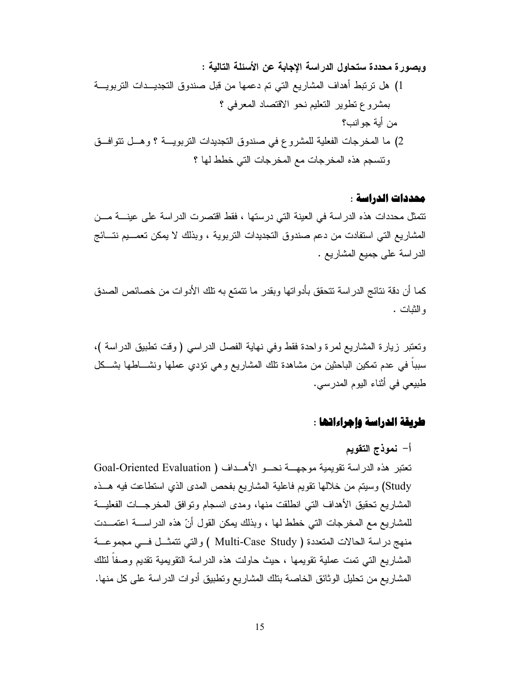### محددات الدراسة :

تتمثِّل محددات هذه الدراسة في العينة التي درستها ، فقط اقتصرت الدراسة على عينــــة مـــن المشاريع التي استفادت من دعم صندوق التجديدات التربوية ، وبذلك لا يمكن تعمـــيم نتـــائج الدراسة على جميع المشاريع .

كما أن دقة نتائج الدراسة تتحقق بأدواتها وبقدر ما تتمتع به تلك الأدوات من خصائص الصدق و الثبات .

وتعتبر زيارة المشاريع لمرة واحدة فقط وفي نهاية الفصل الدراسي (وقت نطبيق الدراسة )، سببا في عدم تمكين الباحثين من مشاهدة تلك المشاريع وهي نؤدي عملها ونشـــاطها بشـــكل طبيعي في أثناء اليوم المدرسي.

# طريقة الدراسة وإجراءاتها :

# أ– نموذج التقويم

تعتبر هذه الدراسة تقويمية موجهــة نحــو الأهــداف ( Goal-Oriented Evaluation Study) وسيتم من خلالها نقويم فاعلية المشاريع بفحص المدى الذي استطاعت فيه هــذه المشاريع تحقيق الأهداف التي انطلقت منها، ومدى انسجام وتوافق المخرجـــات الفعليـــة للمشاريع مع المخرجات التي خطط لها ، وبذلك يمكن القول أنّ هذه الدراســـة اعتمـــدت منهج دراسة الحالات المتعددة ( Multi-Case Study ) والتي تتمثَّــل فــي مجموعـــة المشاريع التي تمت عملية تقويمها ، حيث حاولت هذه الدراسة التقويمية تقديم وصفا لنلك المشاريع من تحليل الوثائق الخاصة بتلك المشاريع وتطبيق أدوات الدراسة على كل منها.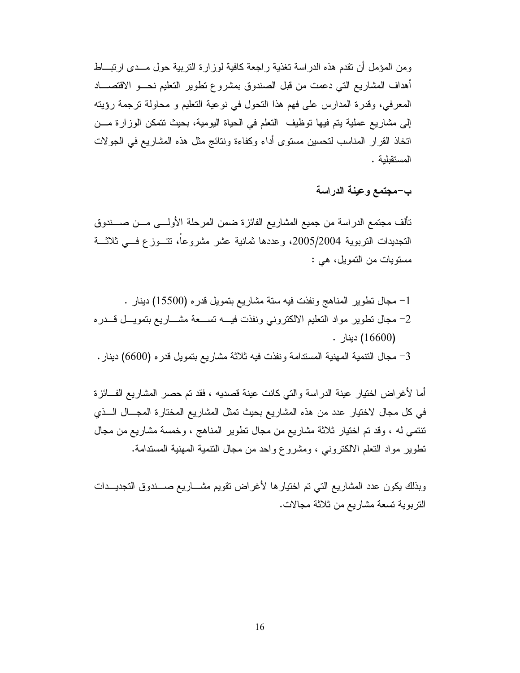ومن المؤمل أن نقدم هذه الدراسة نغذية راجعة كافية لوزارة النربية حول مــدى ارتبـــاط أهداف المشاريع التي دعمت من قبل الصندوق بمشروع نطوير النعليم نحـــو الاقتصــــاد المعرفي، وقدرة المدارس على فهم هذا النحول في نوعية النعليم و محاولة نرجمة رؤيته إلى مشاريع عملية بتم فيها توظيف النعلم في الحياة اليومية، بحيث تتمكن الوزارة مـــن اتخاذ القرار المناسب لتحسين مستوى أداء وكفاءة ونتائج مثل هذه المشاريع في الجولات المستقللية .

ب-مجتمع وعينة الدراسة

تألف مجتمع الدراسة من جميع المشاريع الفائزة ضمن المرحلة الأولـــي مـــن صــــندوق التجديدات النربوية 2005/2004، وعددها ثمانية عشر مشروعاً، تتسوزع فسي ثلاثـــة مستويات من التمويل، هي :

1- مجال نطوير المناهج ونفذت فيه سنة مشاريع بنمويل قدره (15500) دينار . 2– مجال نطوير مواد النعليم الالكتروني ونفذت فيسه تســعة مشـــاريع بتمويـــل قـــدره (16600) دينار . 3- مجال النتمية المهنية المستدامة ونفذت فيه ثلاثة مشاريع بتمويل قدره (6600) دينار .

أما لأغراض اختيار عينة الدراسة والتي كانت عينة قصديه ، فقد تم حصر المشاريع الفــائزة في كل مجال لاختيار عدد من هذه المشاريع بحيث تمثل المشاريع المختارة المجــال الــذي نتتمي له ، وقد تم اختيار ثلاثة مشاريع من مجال نطوير المناهج ، وخمسة مشاريع من مجال نطوير مواد النعلم الالكترونبي ، ومشروع واحد من مجال النتمية المهنية المستدامة.

وبذلك يكون عدد المشاريع التي تم اختيارها لأغراض تقويم مشـــاريع صـــندوق التجديـــدات التزيوية تسعة مشاريع من ثلاثة مجالات.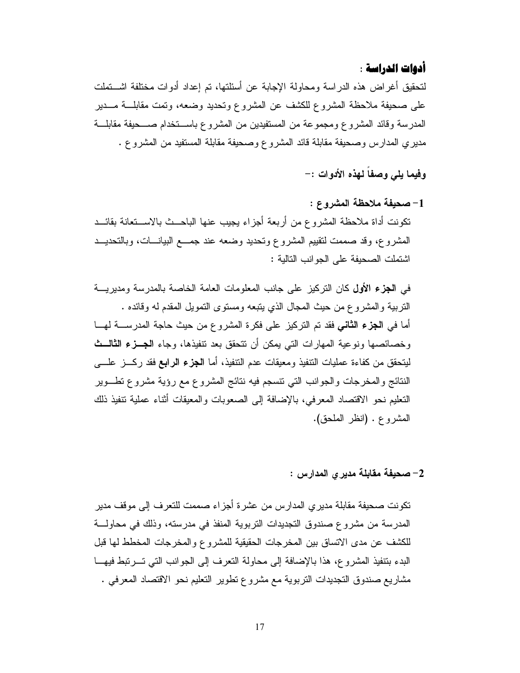# أدوات الدراسة :

لتحقيق أغراض هذه الدراسة ومحاولة الإجابة عن أسئلتها، تم إعداد أدوات مختلفة اشـــتملت على صحيفة ملاحظة المشروع للكشف عن المشروع ونحديد وضعه، ونَّمت مقابلـــة مـــدير المدرسة وقائد المشروع ومجموعة من المستفيدين من المشروع باســـنخدام صــــحيفة مقابلـــة مديري المدارس وصحيفة مقابلة قائد المشروع وصحيفة مقابلة المستفيد من المشروع .

وفيما يلي وصفاً لهذه الأدوات :-

1- صحيفة ملاحظة المشروع : نكونت أداة ملاحظة المشروع من أربعة أجزاء يجيب عنها الباحــث بالاســتعانة بقائــد المشروع، وقد صممت لنقيبم المشروع وتحديد وضعه عند جمـــع البيانــــات، وبالتحديـــد اشتملت الصحيفة على الجوانب التالية :

في ا**لجزء الأول** كان التركيز على جانب المعلومات العامة الخاصة بالمدرسة ومديريـــة النربية والمشروع من حيث المجال الذي يتبعه ومستوى النمويل المقدم له وقائده . أما في ا**لجزء الثاني ف**قد تم التركيز على فكرة المشروع من حيث حاجة المدرســــة لهــــا وخصائصها ونوعية المهارات التي يمكن أن تتحقق بعد تتفيذها، وجاء الجسزء الثالسث ليتحقق من كفاءة عمليات النتفيذ ومعيقات عدم التنفيذ، أما ا**لجزء الرابع** فقد ركـــز علــــ<sub>ي</sub> النتائج والمخرجات والجوانب التبي نتسجم فيه نتائج المشروع مع رؤية مشروع نطــوير النعليم نحو الاقتصاد المعرفي، بالإضافة إلى الصعوبات والمعيقات أثناء عملية تنفيذ ذلك المشروع . (انظر الملحق).

# 2– صحيفة مقابلة مدير يالمدارس :

تكونت صحيفة مقابلة مديرى المدارس من عشرة أجزاء صممت للتعرف إلى موقف مدير المدرسة من مشروع صندوق التجديدات التربوية المنفذ في مدرسته، وذلك في محاولـــة للكشف عن مدى الاتساق بين المخرجات الحقيقية للمشروع والمخرجات المخطط لها قبل البدء بنتفيذ المشروع، هذا بالإضافة إلى محاولة التعرف إلى الجوانب التي تسرتبط فيها مشاريع صندوق التجديدات النربوية مع مشروع تطوير التعليم نحو الاقتصاد المعرفي .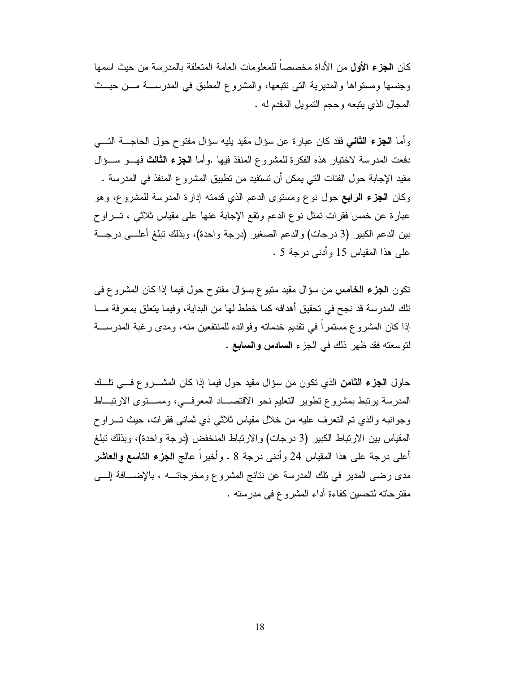كان ا**لجزء الأول** من الأداة مخصصاً للمعلومات العامة المتعلقة بالمدرسة من حيث اسمها وجنسها ومستواها والمديرية التي نتبعها، والمشروع المطبق في المدرســة مـــن حيـــث المجال الذي يتبعه وحجم النمويل المقدم له .

و أما ا**لجزء الثاني** فقد كان عبارة عن سؤال مقيد بليه سؤال مفتوح حول الحاجـــة التــــى دفعت المدر سة لاختيار ٍ هذه الفكر ة للمشر و ع المنفذ فيها .و أما ا**لجزء الثالث** فهـــو ســـؤ ال مقيد الإجابة حول الفئات التي يمكن أن تستفيد من تطبيق المشروع المنفذ في المدرسة . وكان ا**لجزء الرابع** حول نوع ومستوى الدعم الذي قدمته إدارة المدرسة للمشروع، وهو عبارة عن خمس فقرات نمثل نوع الدعم وتقع الإجابة عنها على مقياس ثلاثني ، تــــراوح بين الدعم الكبير (3 درجات) والدعم الصغير (درجة واحدة)، وبذلك نبلغ أعلـــي درجـــة على هذا المقياس 15 وأدنى درجة 5 .

نكون ا**لجزء الخامس** من سؤال مقيد منبوع بسؤال مفتوح حول فيما إذا كان المشروع في تلك المدر سة قد نجح في تحقيق أهدافه كما خطط لها من البداية، وفيما يتعلق بمعر فة مـــا إذا كان المشروع مستمراً في تقديم خدماته وفوائده للمنتفعين منه، ومدى رغبة المدرســـة لتوسعته فقد ظهر ذلك في الجزء السلاس والسابع .

حاول ا**لـجزء الثامن** الذي نكون من سؤال مقيد حول فيما إذا كان المشــــروع فــــي نلـــك المدرسة برنبط بمشروع نطوير النعليم نحو الاقتصـــاد المعرفـــي، ومســـنوى الارنبـــاط وجوانبه والذي تم التعرف عليه من خلال مقياس ثلاثي ذي ثماني فقرات، حيث تسراوح المقياس بين الارتباط الكبير (3 درجات) والارتباط المنخفض (درجة واحدة)، وبذلك تبلغ أعلى درجة على هذا المقياس 24 وأدنى درجة 8 . وأخيراً عالج ا**لجزء التاسع والعاشر** مدى رضبي المدير في نلك المدرسة عن نتائج المشروع ومخرجاتـــه ، بالإضـــافة إلــــي مقترحاته لتحسين كفاءة أداء المشروع في مدرسته .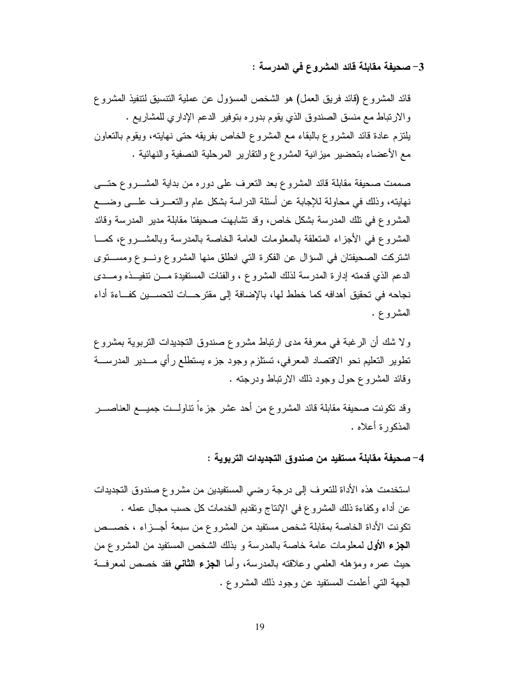3– صحيفة مقابلة قائد المشروع في المدرسة :

قائد المشروع (قائد فريق العمل) هو الشخص المسؤول عن عملية التتسيق لتتفيذ المشروع والارتباط مع منسق الصندوق الذي يقوم بدوره بتوفير الدعم الإداري للمشاريع . يلتزم عادة قائد المشروع بالبقاء مع المشروع الخاص بفريقه حتى نهايته، ويقوم بالنعاون مع الأعضاء بتحضير ميزانية المشروع والنقارير المرحلية النصفية والنهائية .

صممت صحيفة مقابلة قائد المشروع بعد النعرف على دوره من بداية المشـــروع حتــــى نـهابنـه، وذلك فـي مـحاولـة لـلإجابـة عن أسئلـة الدراسـة بشكل عام والنـعــــرف علــــي وضـــــع المشروع في تلك المدرسة بشكل خاص، وقد تشابهت صحيفتا مقابلة مدير المدرسة وقائد المشروع في الأجزاء المتعلقة بالمعلومات العامة الخاصة بالمدرسة وبالمشـــروع، كمـــا اشتركت الصحيفتان في السؤال عن الفكرة التي انطلق منها المشروع ونسوع ومستوى الدعم الذي قدمته إدارة المدرسة لذلك المشروع ، والفئات المستفيدة مـــن نتفيـــذه ومـــدى نجاحه في تحقيق أهدافه كما خطط لها، بالإضافة إلى مقتر حـــات لتحســـين كفـــاءة أداء المشروع .

ولا شك أن الرغبة في معرفة مدى ارتباط مشروع صندوق التجديدات التربوية بمشروع تطوير التعليم نحو الاقتصاد المعرفي، تستلزم وجود جزء يستطلع رأى مـــدير المدرســـة وقائد المشروع حول وجود ذلك الارتباط ودرجته .

وقد نكونت صحيفة مقابلة قائد المشروع من أحد عشر جزءاً نتاولـــت جميــــع العناصـــــر المذكور ة أعلاه .

4– صحيفة مقابلة مستفيد من صندوق التجديدات التربوية :

استخدمت هذه الأداة للتعرف إلى درجة رضيي المستفيدين من مشروع صندوق التجديدات عن أداء وكفاءة ذلك المشروع في الإنتاج وتقديم الخدمات كل حسب مجال عمله . تكونت الأداة الخاصة بمقابلة شخص مستفيد من المشروع من سبعة أجـــزاء ، خصـــص **الـجزء الأول ل**معلومات عامة خاصـة بالمدرسة و بذلك الشخص المستفيد من المشروع من حيث عمره ومؤهله العلمي وعلاقته بالمدرسة، وأما ا**لجزء الثاني** فقد خصص لمعرفة الجهة النبي أعلمت المستفيد عن وجود ذلك المشروع .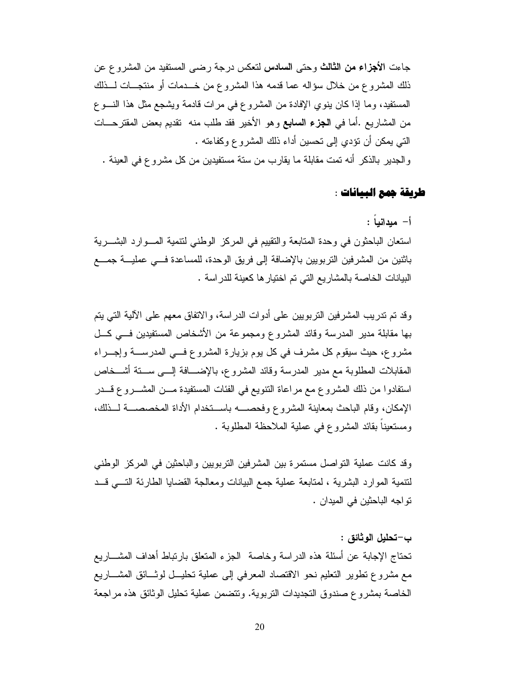جاءت الأ**جزاء من الثالث** وحتى **السادس** لتعكس درجة رضـي المستفيد من المشروع عن ذلك المشروع من خلال سؤاله عما قدمه هذا المشروع من خـــدمات أو منتجـــات لـــذلك المستفيد، وما إذا كان ينوي الإفادة من المشروع في مرات قادمة ويشجع مثل هذا النسوع من المشاريع .أما في ا**لجزء السابع** وهو الأخير فقد طلب منه تقديم بعض المقترحـــات التي يمكن أن تؤدي إلى تحسين أداء ذلك المشروع وكفاءته . والجدير بالذكر أنه تمت مقابلة ما يقارب من ستة مستفيدين من كل مشروع في العينة .

# طريقة جمع البيانات :

# أ– ميدانيا :

استعان الباحثون في وحدة المتابعة والتقييم في المركز الوطني لتتمية المسوارد البشـــرية باثنين من المشرفين النربويين بالإضافة إلى فريق الوحدة، للمساعدة فسى عمليـــة جمـــع البيانات الخاصة بالمشاريع التي تم اختيار ها كعينة للدراسة .

وقد تم تدريب المشرفين النربويين على أدوات الدراسة، والاتفاق معهم على الآلية التي يتم بها مقابلة مدير المدرسة وقائد المشروع ومجموعة من الأشخاص المستفيدين فسي كل مشروع، حيث سيقوم كل مشرف في كل بوم بزيارة المشروع فسي المدرســـة وإجـــراء المقابلات المطلوبة مع مدير المدرسة وقائد المشروع، بالإضــــافة إلــــى ســـنة أشـــخاص استفادوا من ذلك المشروع مع مراعاة التتويع في الفئات المستفيدة مـــن المشـــروع قـــدر الإمكان، وقام الباحث بمعاينة المشروع وفحصــــه باســـتخدام الأداة المخصصـــة لـــذلك، ومستعيناً بقائد المشروع في عملية الملاحظة المطلوبة .

وقد كانت عملية النواصل مستمرة بين المشرفين النربويين والباحثين في المركز الوطني لننمية الموارد البشرية ، لمتابعة عملية جمع البيانات ومعالجة القضايا الطارئة النسى قــد نو اجه الباحثين في الميدان .

ب—تحليل الوثائق : تحتاج الإجابة عن أسئلة هذه الدر اسة وخاصة الجز ء المتعلق بار تباط أهداف المشـــار يع مع مشروع نطوير النعليم نحو الاقتصاد المعرفي إلى عملية نحليــل لوثـــائق المشـــاريـع الخاصة بمشر و ع صندوق التجديدات التر بوية. وتتضمن عملية تحليل الوثائق هذه مر اجعة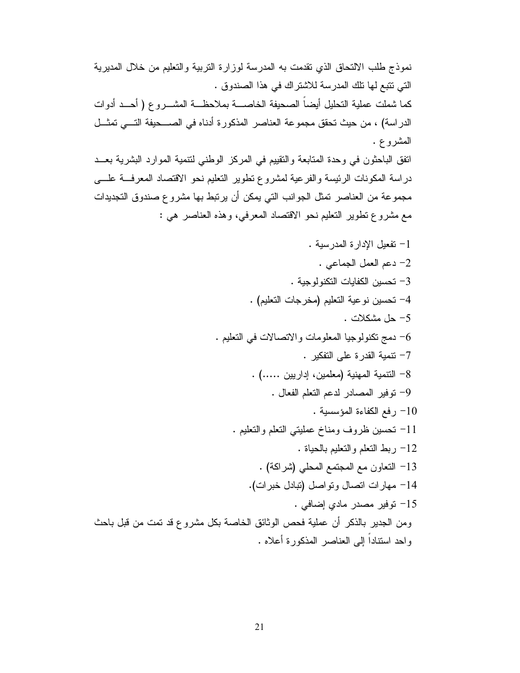نموذج طلب الالتحاق الذي نقدمت به المدرسة لوزارة التربية والتعليم من خلال المديرية التي نتبع لها نلك المدرسة للاشتراك في هذا الصندوق . كما شملت عملية النحليل أيضاً الصحيفة الخاصــــة بملاحظـــة المشــــروع ( أحـــد أدوات الدراسة) ، من حيث تحقق مجموعة العناصر المذكورة أدناه في الصـــحيفة التـــي تمثـــل المشروع . انفق الباحثون في وحدة المتابعة والنقيبم في المركز الوطني لنتمية الموارد البشرية بعــد

دراسة المكونات الرئيسة والفرعية لمشروع نطوير النعليم نحو الاقتصاد المعرفة علسى مجموعة من العناصر تمثل الجوانب التي يمكن أن يرتبط بها مشروع صندوق التجديدات مع مشروع نطوير النعليم نحو الاقتصاد المعرفي، وهذه العناصر هي :

1- نفعيل الإدارة المدرسية . 2- دعم العمل الجماعي . 3– تحسين الكفايات التكنولوجية . 4- تحسين نوعية التعليم (مخرجات التعليم) . 5- حل مشكلات . - دمج نكنولوجيا المعلومات والاتصالات في التعليم  $-6$ 7– نتمية القدرة على التفكير . 8– النتمية المهنية (معلمين، إداريين .....) . 9- توفير المصادر لدعم التعلم الفعال . 10 رفع الكفاءة المؤسسية . 11– نحسين ظروف ومناخ عمليتي النعلم والنعليم . 12– ربط النعلم والنعليم بالحياة . 13– النعاون مع المجتمع المحلي (شراكة) . 14- مهارات اتصال وتواصل (تبادل خبرات). 15- توفير مصدر مادي إضافي . ومن الجدير بالذكر أن عملية فحص الوثائق الخاصة بكل مشروع قد تمت من قبل باحث واحد استناداً إلى العناصر المذكورة أعلاه .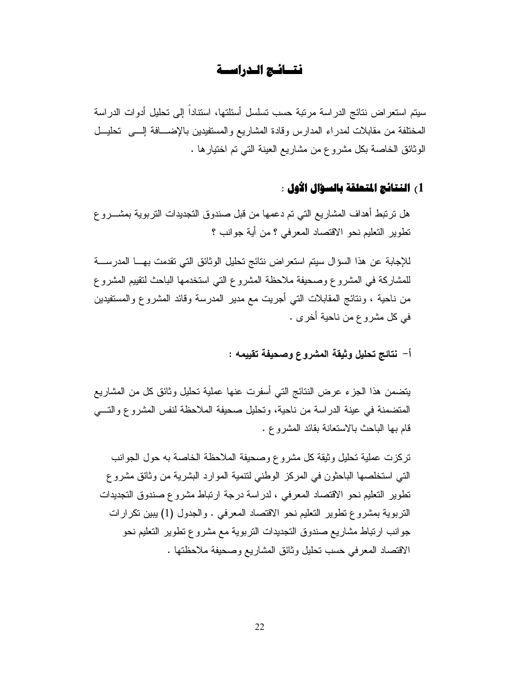# نتسائج الدراسسة

سيتم استعراض نتائج الدراسة مرتبة حسب تسلسل أسئلتها، استناداً إلى تحليل أدوات الدراسة المختلفة من مقابلات لمدراء المدارس وقادة المشاريع والمستفيدين بالإضـــافة إلـــى تحليــل الوثائق الخاصة بكل مشروع من مشاريع العينة التي تم اختيار ها .

# 1، النتائج المتعلقة بالسؤال الأول :

هل نرتبط أهداف المشاريع التي تم دعمها من قبل صندوق النجديدات التربوية بمشــــرو ع تطوير التعليم نحو الاقتصاد المعرفي ؟ من أية جوانب ؟

للإجابة عن هذا السؤال سيتم استعراض نتائج تحليل الوثائق التي تقدمت بهـــا المدرســـة للمشاركة في المشروع وصحيفة ملاحظة المشروع التي استخدمها الباحث لتقييم المشروع من ناحية ، ونتائج المقابلات التي أجريت مع مدير المدرسة وقائد المشروع والمستفيدين في كل مشروع من ناحية أخرى .

أ– نتائج تحليل وثيقة المشروع وصحيفة تقييمه :

يتضمن هذا الجزء عرض النتائج التبي أسفرت عنها عملية نحليل وثائق كل من المشاريع المنضمنة في عينة الدراسة من ناحية، وتحليل صحيفة الملاحظة لنفس المشروع والتسي قام بها الباحث بالاستعانة بقائد المشروع .

تركزت عملية تحليل وثيقة كل مشروع وصحيفة الملاحظة الخاصة به حول الجوانب التي استخلصها الباحثون في المركز الوطني لتتمية الموارد البشرية من وثائق مشروع تطوير التعليم نحو الاقتصاد المعرفي ، لدراسة درجة ارتباط مشروع صندوق التجديدات التربوية بمشروع نطوير النعليم نحو الاقتصاد المعرفي . والجدول (1) يبين نكرارات جوانب ارتباط مشاريع صندوق التجديدات النربوية مع مشروع نطوير التعليم نحو الاقتصاد المعرفي حسب تحليل وثائق المشاريع وصحيفة ملاحظتها .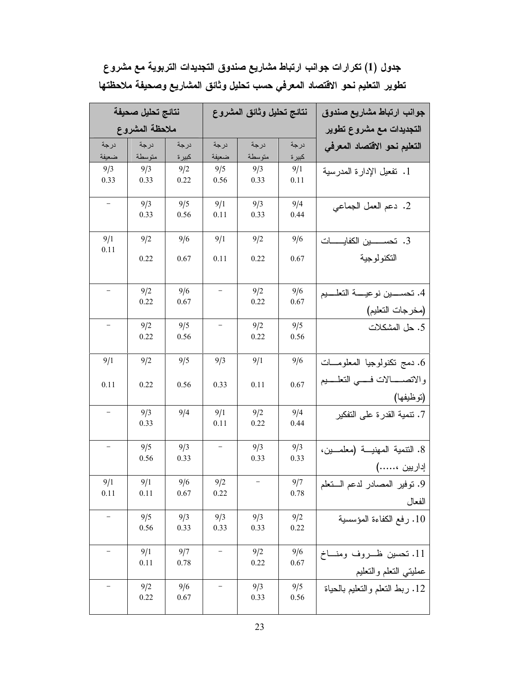|                   | نتائج تحليل صحيفة |             | نتائج تحليل وثائق المشروع |             |             | جوانب ارتباط مشاريع صندوق                          |
|-------------------|-------------------|-------------|---------------------------|-------------|-------------|----------------------------------------------------|
|                   | ملاحظة المشروع    |             |                           |             |             | التجديدات مع مشروع تطوير                           |
| درجة              | درجة              | درجة        | درجة                      | درجة        | درجة        | التعليم نحو الاقتصاد المعرفى                       |
| ضعيفة             | متوسطة            | كبيرة       | ضعيفة                     | متوسطة      | كبير ة      |                                                    |
| 9/3<br>0.33       | 9/3<br>0.33       | 9/2<br>0.22 | 9/5<br>0.56               | 9/3<br>0.33 | 9/1<br>0.11 | 1. تفعيل الإدارة المدرسية                          |
|                   | 9/3<br>0.33       | 9/5<br>0.56 | 9/1<br>0.11               | 9/3<br>0.33 | 9/4<br>0.44 | 2. دعم العمل الجماعي                               |
| 9/1<br>0.11       | 9/2               | 9/6         | 9/1                       | 9/2         | 9/6         |                                                    |
|                   | 0.22              | 0.67        | 0.11                      | 0.22        | 0.67        | التكنولوجية                                        |
|                   | 9/2               | 9/6         | $\overline{\phantom{0}}$  | 9/2         | 9/6         | 4. نحســـــين نوعيـــــة النعلـــــيم              |
|                   | 0.22              | 0.67        |                           | 0.22        | 0.67        | (مخرجات التعليم)                                   |
|                   | 9/2<br>0.22       | 9/5<br>0.56 | $\qquad \qquad -$         | 9/2<br>0.22 | 9/5<br>0.56 | 5. حل المشكلات                                     |
| 9/1               | 9/2               | 9/5         | 9/3                       | 9/1         | 9/6         | 6. دمج نكنولوجيا المعلومـــات                      |
| 0.11              | 0.22              | 0.56        | 0.33                      | 0.11        | 0.67        | والاتصــــالات فـــــي التعلـــــيم<br>(توظيفها)   |
| $\qquad \qquad -$ | 9/3<br>0.33       | 9/4         | 9/1<br>0.11               | 9/2<br>0.22 | 9/4<br>0.44 | 7. نتمية القدرة على التفكير                        |
|                   | 9/5<br>0.56       | 9/3<br>0.33 | $\qquad \qquad -$         | 9/3<br>0.33 | 9/3<br>0.33 | 8. النتمية المهنية (معلمين،<br>إداريين ،)          |
| 9/1<br>0.11       | 9/1<br>0.11       | 9/6<br>0.67 | 9/2<br>0.22               | $\equiv$    | 9/7<br>0.78 | 9. نوفير المصادر لدعم الستعلم<br>الفعال            |
|                   | 9/5<br>0.56       | 9/3<br>0.33 | 9/3<br>0.33               | 9/3<br>0.33 | 9/2<br>0.22 | 10. رفع الكفاءة المؤسسية                           |
|                   | 9/1<br>0.11       | 9/7<br>0.78 |                           | 9/2<br>0.22 | 9/6<br>0.67 | 11. تحسين ظــروف ومنــاخ<br>عمليتي التعلم والتعليم |
|                   | 9/2<br>0.22       | 9/6<br>0.67 |                           | 9/3<br>0.33 | 9/5<br>0.56 | 12. ربط النعلم والنعليم بالحياة                    |

جدول (1) تكرارات جوانب ارتباط مشاريع صندوق التجديدات التربوية مع مشروع تطوير التعليم نحو الاقتصاد المعرفي حسب تحليل وثائق المشاريع وصحيفة ملاحظتها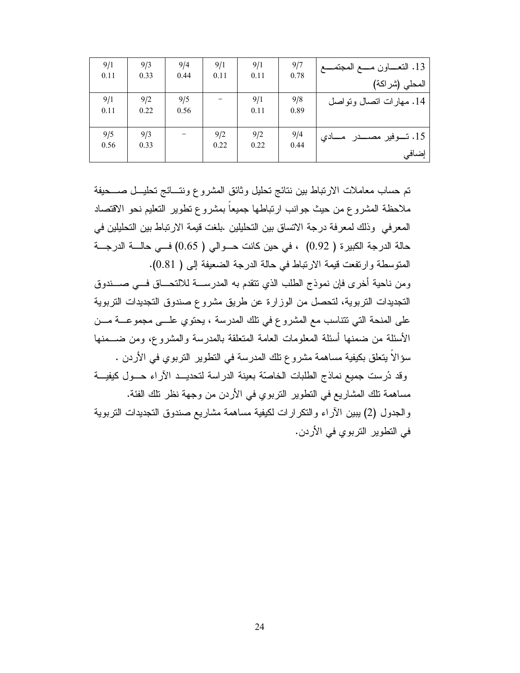| 9/1  | 9/3  | 9/4  | 9/1  | 9/1  | 9/7  |                              |
|------|------|------|------|------|------|------------------------------|
| 0.11 | 0.33 | 0.44 | 0.11 | 0.11 | 0.78 |                              |
|      |      |      |      |      |      | المحلي (شراكة)               |
| 9/1  | 9/2  | 9/5  |      | 9/1  | 9/8  | 14. مهارات اتصال وتواصل      |
| 0.11 | 0.22 | 0.56 |      | 0.11 | 0.89 |                              |
|      |      |      |      |      |      |                              |
| 9/5  | 9/3  |      | 9/2  | 9/2  | 9/4  | 15. تــوفير مصـــدر<br>ــادى |
| 0.56 | 0.33 |      | 0.22 | 0.22 | 0.44 |                              |
|      |      |      |      |      |      | إضافي                        |

تم حساب معاملات الارتباط بين نتائج تحليل وثائق المشروع ونتسائج تحليـل صـــحيفة ملاحظة المشروع من حيث جوانب ارتباطها جميعاً بمشروع نطوير النعليم نحو الاقتصاد المعرفي وذلك لمعرفة درجة الاتساق بين التحليلين .بلغت قيمة الارتباط بين التحليلين في حالة الدرجة الكبيرة ( 0.92) ، في حين كانت حــوالى ( 0.65) فــى حالـــة الدرجـــة المنوسطة وارتفعت قيمة الارتباط في حالة الدرجة الضعيفة إلى ( 0.81). ومن ناحية أخرى فإن نموذج الطلب الذي نتقدم به المدرســـة للالتحـــاق فـــي صــــندوق التجديدات التربوية، لتحصل من الوزارة عن طريق مشروع صندوق التجديدات التربوية على المنحة التي تتناسب مع المشروع في تلك المدرسة ، يحتوي علـــي مجموعـــة مـــن الأسئلة من ضمنها أسئلة المعلومات العامة المتعلقة بالمدرسة والمشروع، ومن ضـــمنها سؤالاً بِتعلِّق بكيفية مساهمة مشروع تلك المدرسة في التطوير التربوي في الأردن . وقد دُرست جميع نماذج الطلبات الخاصّة بعينة الدراسة لتحديــد الآراء حــول كيفيــة مساهمة تلك المشاريع في التطوير التربوي في الأردن من وجهة نظر تلك الفئة. والجدول (2) يبين الأراء والنكرارات لكيفية مساهمة مشاريع صندوق التجديدات النزبوية في التطوير التربوي في الأردن.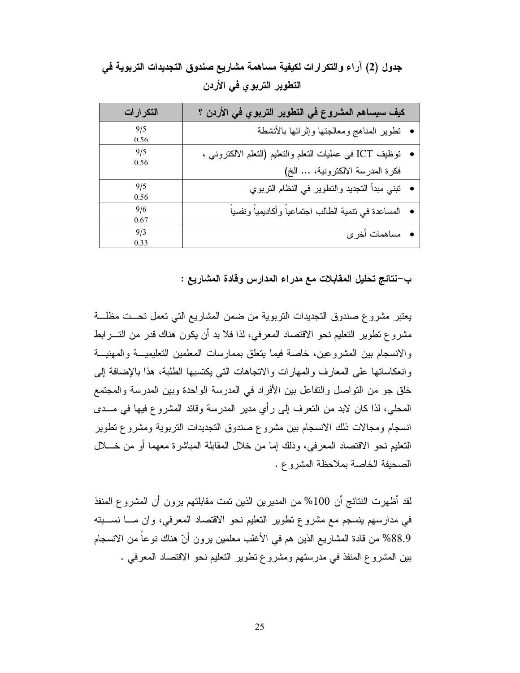| التكرارات | كيف سيساهم المشروع في التطوير التربوي في الأردن ؟             |
|-----------|---------------------------------------------------------------|
| 9/5       | • نطوير المناهج ومعالجتها وإثرائها بالأنشطة                   |
| 0.56      |                                                               |
| 9/5       | •    توظيف ICT في عمليات النعلم والنعليم (النعلم الالكتروني ، |
| 0.56      |                                                               |
|           | فكرة المدرسة الالكترونية،  الخ)                               |
| 9/5       | •   تبني مبدأ النجديد والنطوير في النظام النربوي              |
| 0.56      |                                                               |
| 9/6       | •    المساعدة في نتمية الطالب اجتماعياً وأكاديمياً ونفسياً    |
| 0.67      |                                                               |
| 9/3       | <b>•</b> مساهمات أخرى                                         |
| 0.33      |                                                               |

جدول (2) آراء والتكرارات لكيفية مساهمة مشاريع صندوق التجديدات التربوية في التطوير التربوي في الأردن

ب—نتائج تحليل المقابلات مع مدراء المدارس وقادة المشاريع :

يعتبر مشروع صندوق التجديدات التربوية من ضمن المشاريع التي تعمل تحــت مظلـــة مشروع نطوير النعليم نحو الاقتصاد المعرفي، لذا فلا بد أن يكون هناك قدر من التــــرابط والانسجام بين المشروعين، خاصة فيما يتعلق بممارسات المعلمين التعليميــة والمهنيــة وانعكاساتها على المعارف والمهارات والانجاهات التي يكتسبها الطلبة، هذا بالإضافة إلى خلق جو من النواصل والنفاعل بين الأفراد في المدرسة الواحدة وبين المدرسة والمجتمع المحلي، لذا كان لابد من التعرف إلى رأى مدير المدرسة وقائد المشروع فيها في مــدى انسجام ومجالات ذلك الانسجام بين مشروع صندوق التجديدات النزبوية ومشروع نطوير النعليم نحو الاقتصاد المعرفي، وذلك إما من خلال المقابلة المباشرة معهما أو من خـــلال الصحيفة الخاصة بملاحظة المشروع.

لقد أظهر ت النتائج أن 100% من المدير بن الذين تمت مقابلتهم برون أن المشروع المنفذ في مدارسهم بنسجم مع مشروع تطوير التعليم نحو الاقتصاد المعرفي، وان مـــا نســـبته 88.9% من قادة المشاريع الذين هم في الأغلب معلمين برون أنّ هناك نوعا من الانسجام بين المشروع المنفذ في مدرستهم ومشروع تطوير التعليم نحو الاقتصاد المعرفي .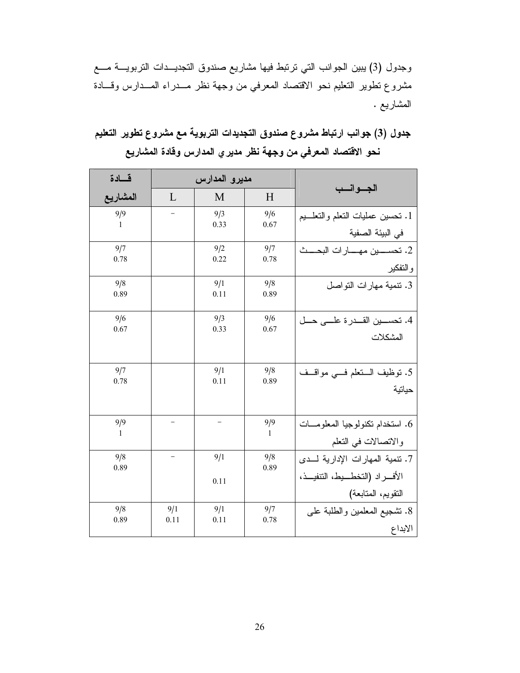وجدول (3) يبين الجوانب التي ترتبط فيها مشاريع صندوق التجديــدات التربويـــة مـــع مشروع نطوير النعليم نحو الاقتصاد المعرفي من وجهة نظر مــدراء المــدارس وقـــادة المشاريع .

# جدول (3) جوانب ارتباط مشروع صندوق التجديدات التربوية مع مشروع تطوير التعليم نحو الاقتصاد المعرفي من وجهة نظر مدير ي المدارس وقادة المشاريع

| قسادة    |                          | مديرو المدارس |              | الجسوانسب                            |
|----------|--------------------------|---------------|--------------|--------------------------------------|
| المشاريع | L                        | M             | H            |                                      |
| 9/9      |                          | 9/3           | 9/6          | 1. تحسين عمليات النعلم والتعلـــيم   |
| 1        |                          | 0.33          | 0.67         | في البيئة الصفية                     |
| 9/7      |                          | 9/2           | 9/7          | 2. تحســــين مهـــــارات البحــــث   |
| 0.78     |                          | 0.22          | 0.78         | والتفكير                             |
| 9/8      |                          | 9/1           | 9/8          | 3. نتمية مهارات التواصل              |
| 0.89     |                          | 0.11          | 0.89         |                                      |
| 9/6      |                          | 9/3           | 9/6          | 4. تحســـين القـــدر ۃ علــــی حـــل |
| 0.67     |                          | 0.33          | 0.67         | المشكلات                             |
|          |                          |               |              |                                      |
| 9/7      |                          | 9/1           | 9/8          | 5. نوظيف الـتعلم فــي مواقــف        |
| 0.78     |                          | 0.11          | 0.89         | حياتية                               |
|          |                          |               |              |                                      |
| 9/9      |                          |               | 9/9          | 6. استخدام تكنولوجيا المعلومــات     |
| 1        |                          |               | $\mathbf{1}$ | والاتصالات في النعلم                 |
| 9/8      | $\overline{\phantom{0}}$ | 9/1           | 9/8          | 7. نتمية المهارات الإدارية لـدى      |
| 0.89     |                          | 0.11          | 0.89         | الأفسراد (التخطسيط، التنفيـــذ،      |
|          |                          |               |              | التقويم، المتابعة)                   |
| 9/8      | 9/1                      | 9/1           | 9/7          | 8. تشجيع المعلمين والطلبة على        |
| 0.89     | 0.11                     | 0.11          | 0.78         | الابداع                              |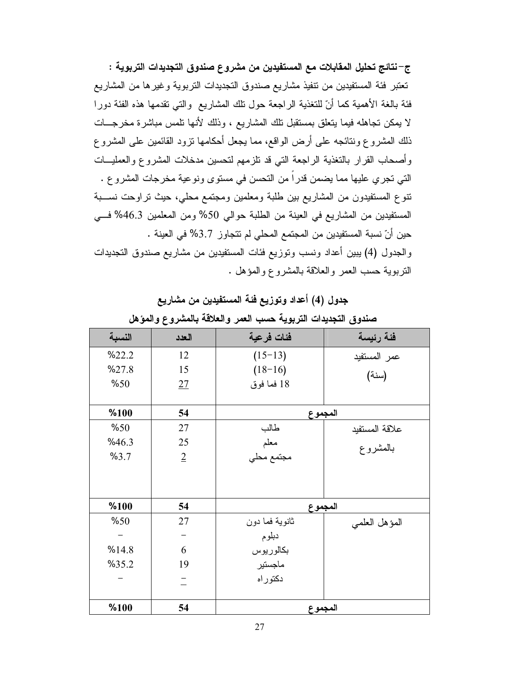ج–نتائج تحليل المقابلات مع المستفيدين من مشروع صندوق التجديدات التربوية : تعتبر فئة المستفيدين من تنفيذ مشاريع صندوق التجديدات التربوية وغيرها من المشاريع فئة بالغة الأهمية كما أنّ للنغذية الراجعة حول نلك المشاريع ۖ والنَّبي نقدمها هذه الفئة دورًا لا يمكن تجاهله فيما يتعلق بمستقبل تلك المشاريع ، وذلك لأنها تلمس مباشرة مخرجـــات ذلك المشروع ونتائجه على أرض الواقع، مما يجعل أحكامها نزود القائمين على المشروع وأصبحاب القرار بالتغذية الراجعة التي قد نلز مهم لتحسين مدخلات المشروع والعمليــات التي تجر ي عليها مما يضمن قدر اً من التحسن في مستو ي و نو عية مخر جات المشر و ع . نتوع المستفيدون من المشاريع بين طلبة ومعلمين ومجتمع محلي، حيث تراوحت نســبة المستفيدين من المشاريع في العينة من الطلبة حوالي 50% ومن المعلمين 46.3% في حين أنّ نسبة المستفيدين من المجتمع المحلي لم نتجاوز 3.7% في العينة . والجدول (4) يبين أعداد ونسب وتوزيع فئات المستفيدين من مشاريع صندوق التجديدات النربوية حسب العمر والعلاقة بالمشروع والمؤهل .

| جدول (4) أعداد وتوزيع فئة المستفيدين من مشاريع |  |  |  |  |
|------------------------------------------------|--|--|--|--|
|------------------------------------------------|--|--|--|--|

|        | $\sim$ 0.22    | $\ddotsc$      | $\tilde{\phantom{a}}$ |
|--------|----------------|----------------|-----------------------|
| النسبة | العدد          | فئات فرعية     | فئة رئيسة             |
| %22.2  | 12             | $(15-13)$      | عمر المستفيد          |
| %27.8  | 15             | $(18-16)$      | (سنة)                 |
| %50    | 27             | 18 فما فوق     |                       |
|        |                |                |                       |
| %100   | 54             | المجموع        |                       |
| %50    | 27             | طالب           | علاقة المستفيد        |
| %46.3  | 25             | معلم           | بالمشروع              |
| %3.7   | $\overline{2}$ | مجتمع محلي     |                       |
|        |                |                |                       |
|        |                |                |                       |
| %100   | 54             | المجموع        |                       |
| %50    | 27             | ثانوية فما دون | المؤهل العلمي         |
|        |                | دبلوم          |                       |
| %14.8  | 6              | بكالوريوس      |                       |
| %35.2  | 19             | ماجستير        |                       |
|        |                | دكتوراه        |                       |
|        |                |                |                       |
| %100   | 54             | المجموع        |                       |

صندوق التحديدات التريوية حسب العمر والعلاقة بالمشروع والمؤهل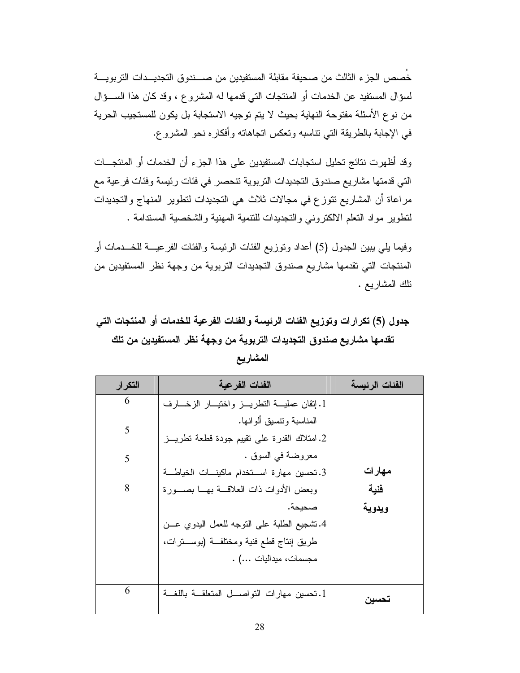خُصص الجز ء الثالث من صحيفة مقابلة المستفيدين من صــــندو ق التجديـــدات التر بو يــــة لسؤال المستفيد عن الخدمات أو المنتجات التي قدمها له المشروع ، وقد كان هذا الســؤال من نوع الأسئلة مفتوحة النهاية بحيث لا يتم توجيه الاستجابة بل يكون للمستجيب الحرية في الإجابة بالطريقة التي نتاسبه وتعكس اتجاهاته وأفكاره نحو المشروع.

وقد أظهرت نتائج تحليل استجابات المستفيدين على هذا الجزء أن الخدمات أو المنتجـــات التي قدمتها مشاريع صندوق التجديدات التربوية تتحصر في فئات رئيسة وفئات فرعية مع مراعاة أن المشاريع نتوزع في مجالات ثلاث هي النجديدات لنطوير المنهاج والنجديدات لنطوير مواد النعلم الالكتروني والنجديدات للنتمية المهنية والشخصية المستدامة .

وفيما يلِّي يبين الجدول (5) أعداد وتوزيع الفئات الرئيسة والفئات الفرعيـــة للخـــدمات أو المنتجات التي تقدمها مشاريع صندوق التجديدات التربوية من وجهة نظر المستفيدين من نلك المشاريع .

# جدول (5) تكرارات وتوزيع الفئات الرئيسة والفئات الفرعية للخدمات أو المنتجات التى تقدمها مشاريع صندوق التجديدات التربوية من وجهة نظر المستفيدين من تلك

| التكرار | الفئات الفرعية                                          | الفئات الرئيسة |
|---------|---------------------------------------------------------|----------------|
| 6       | 1. إنقان عمليــــة النطريـــــز واختيــــار الزخــــارف |                |
| 5       | المناسبة ونتسبق ألو انـها.                              |                |
|         | 2. امتلاك القدرة على نقييم جودة قطعة نطريـــز           |                |
| 5       | معروضة في السوق .                                       |                |
|         | 3. تحسين مهارة اســـتخدام ماكينـــات الخياطـــة         | مهار ات        |
| 8       | وبعض الأدوات ذات العلاقسة بهسا بصسورة                   | فنية           |
|         | صحيحة.                                                  | ويدوية         |
|         | 4.تشجيع الطلبة على النوجه للعمل اليدوي عـــن            |                |
|         | طريق إنتاج قطع فنية ومختلفــة (بوســـنرات،              |                |
|         | مجسمات، ميداليات ) .                                    |                |
|         |                                                         |                |
| 6       | 1. تحسين مهارات النواصـــل المتعلقـــة باللغـــة        | تحسبن          |

المشاريع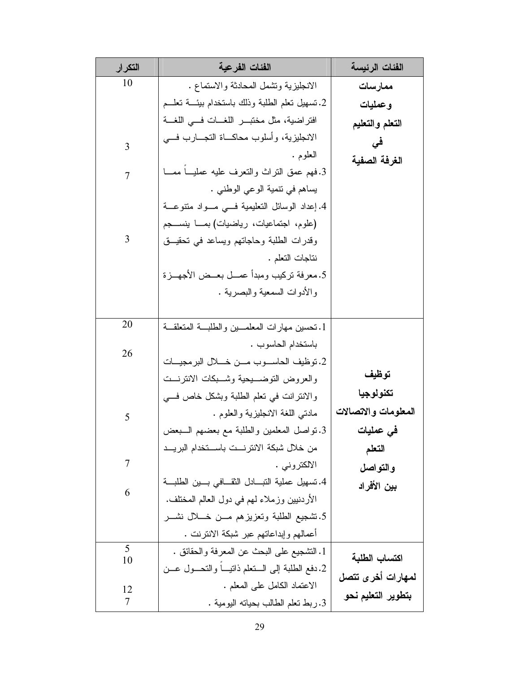| التكرار | الفئات الفرعية                                                           | الفئات الرئيسة       |
|---------|--------------------------------------------------------------------------|----------------------|
| 10      | الانجليزية ونشمل المحادثة والاستماع .                                    | ممارسات              |
|         | 2. تسهيل نعلم الطلبة وذلك باستخدام بيئــــة نعلـــم                      | وعمليات              |
|         | افتر اضية، مثل مختبــــر اللغــــات فــــى اللغــــة                     | التعلم والتعليم      |
| 3       | الانجليزية، وأسلوب محاكـــاة التجـــارب فــــي                           | في                   |
|         | العلوم .                                                                 | الغرفة الصفية        |
| 7       | 3.فهم عمق النراث والنعرف عليه عمليــا ممـــا                             |                      |
|         | يساهم في نتمية الوعي الوطني .                                            |                      |
|         | 4. إعداد الوسائل النعليمية فسي مسواد منتوعسة                             |                      |
|         | (علوم، اجتماعيات، رياضيات) بمـــا ينســــجم                              |                      |
| 3       | وقدرات الطلبة وحاجاتهم ويساعد في تحقيــق                                 |                      |
|         | نتاجات التعلم .                                                          |                      |
|         | 5.معرفة تركيب ومبدأ عمـــل بعــض الأجهـــزة                              |                      |
|         | و الأدوات السمعية و البصر ية .                                           |                      |
| 20      |                                                                          |                      |
|         | 1. تحسين مهارات المعلمـــين والطلبـــة المتعلقـــة                       |                      |
| 26      | باستخدام الحاسوب .<br>2. توظيف الحاســـوب مـــن خـــــلال البر مجيــــات |                      |
|         | والعروض النوضــــبيحية وشــــبكات الانترنـــت                            | توظيف                |
|         | و الانتر انت في تعلم الطلبة وبشكل خاص في                                 | تكنولوجيا            |
| 5       | مادني اللغة الانجليزية والعلوم .                                         | المعلومات والاتصالات |
|         | 3. نواصل المعلمين والطلبة مع بعضهم السبعض                                | في عمليات            |
|         | من خلال شبكة الانترنـــت باســـتخدام البريـــد                           | التعلم               |
| 7       | الالكتروني .                                                             | والتواصل             |
|         | 4. تسهيل عملية التبـــادل الثقـــافي بـــين الطلبـــة                    | بين الأفراد          |
| 6       | الأردنيين وزملاء لـهم فـي دول الـعالم المختلف.                           |                      |
|         | 5.تشجيع الطلبة وتعزيزهم مـــن خــــلل نشــــر                            |                      |
|         | أعمالهم وإبداعاتهم عبر شبكة الانترنت .                                   |                      |
| 5<br>10 | 1. النشجيع على البحث عن المعرفة والحقائق .                               | اكتساب الطلبة        |
|         | 2.دفع الطلبة إلى السنعلم ذانيبا والتحسول عسن                             | لمهارات أخرى تتصل    |
| 12      | الاعتماد الكامل على المعلم .                                             |                      |
| 7       | 3. ربط نعلم الطالب بحيانه اليومية .                                      | بتطوير التعليم نحو   |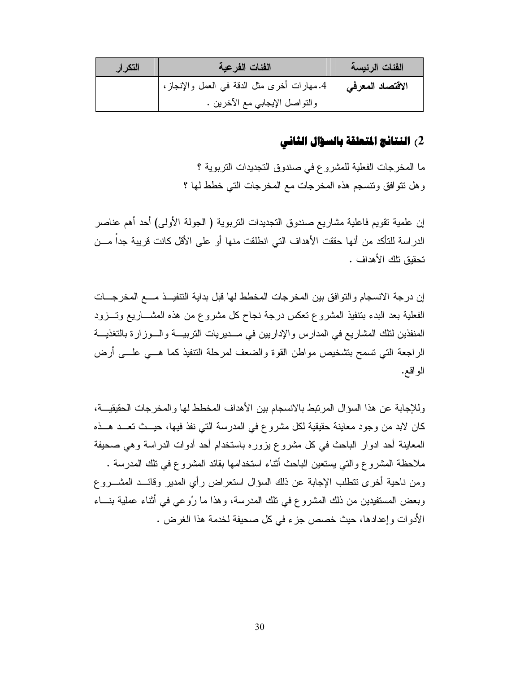| التكرار | الفئات الفرعية                               | الفئات الرئيسة   |
|---------|----------------------------------------------|------------------|
|         | 4.مهارات أخرى مثل الدقة في العمل والإنجاز، ' | الاقتصاد المعرفى |
|         | والنواصل الإيجابي مع الأخرين .               |                  |

# 2) النتائج المتعلقة بالسؤال الثاني

ما المخرجات الفعلية للمشروع في صندوق التجديدات التربوية ؟ وهل نتوافق ونتسجم هذه المخرجات مع المخرجات التي خطط لها ؟

إن علمية نقويم فاعلية مشاريع صندوق النجديدات النربوية ( الجولة الأولى) أحد أهم عناصر الدراسة للتأكد من أنها حققت الأهداف التي انطلقت منها أو على الأقل كانت قريبة جداً مـــن تحقيق تلك الأهداف .

إن درجة الانسجام والتوافق بين المخرجات المخطط لها قبل بداية التتفيــذ مـــع المخرجـــات الفعلية بعد البدء بتنفيذ المشروع نعكس درجة نجاح كل مشروع من هذه المشـــاريع وتـــزود المنفذين لنلك المشاريع في المدارس والإداريين في مــديريات التربيـــة والـــوزارة بالتغذيـــة الراجعة التي تسمح بتشخيص مواطن القوة والضعف لمرحلة التنفيذ كما هـــي علـــي أرض الو اقع.

وللإجابة عن هذا السؤال المرتبط بالانسجام بين الأهداف المخطط لها والمخرجات الحقيقيـــة، كان لابد من وجود معاينة حقيقية لكل مشروع في المدرسة التي نفذ فيها، حيــث تعــد هــذه المعاينة أحد ادوار الباحث في كل مشروع بزوره باستخدام أحد أدوات الدراسة وهي صحيفة ملاحظة المشروع والتي يستعين الباحث أثناء استخدامها بقائد المشروع في تلك المدرسة . ومن ناحية أخرى نتطلب الإجابة عن ذلك السؤال استعراض رأى المدير وقائــد المشـــروع وبعض المستفيدين من ذلك المشروع في نلك المدرسة، وهذا ما رُوعي في أثناء عملية بنـــاء الأدوات وإعدادها، حيث خصص جزء في كل صحيفة لخدمة هذا الغرض .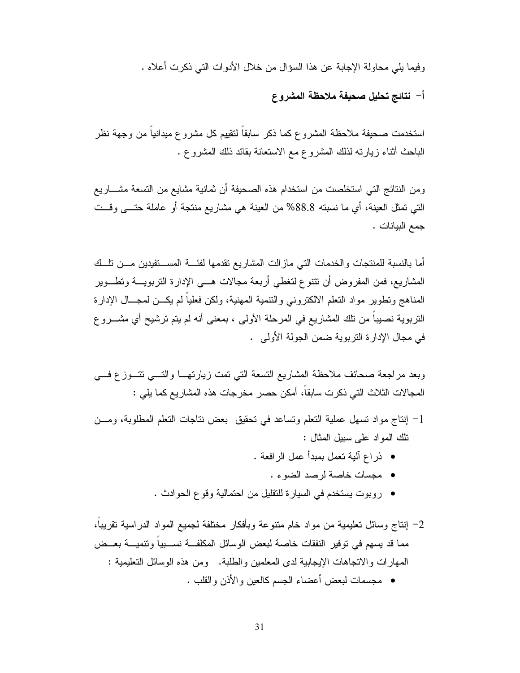وفيما يلي محاولة الإجابة عن هذا السؤال من خلال الأدوات التي ذكرت أعلاه .

أ– نتائج تحليل صحيفة ملاحظة المشروع

استخدمت صحيفة ملاحظة المشروع كما ذكر سابقاً لنقيبم كل مشروع ميدانياً من وجهة نظر الباحث أثناء زيارته لذلك المشروع مع الاستعانة بقائد ذلك المشروع .

ومن النتائج التي استخلصت من استخدام هذه الصحيفة أن ثمانية مشايع من التسعة مشــــاريع الَّتِي تَمثَّلُ العينة، أي ما نسبته 88.8% من العينة هي مشاريع منتجة أو عاملة حتـــي وقــت جمع البيانات .

أما بالنسبة للمنتجات والخدمات التي مازالت المشاريع نقدمها لفئـــة المســتفيدين مـــن نلــك المشاريع، فمن المفروض أن نتنوع لنغطي أربعة مجالات هـــي الإدارة النزبويـــة ونطـــوير المناهج وتطوير مواد النعلم الالكتروني والنتمية المهنية، ولكن فعلياً لم يكــن لمجـــال الإدارة النربوية نصيبا من نلك المشاريع في المرحلة الأولى ، بمعنى أنه لم يتم نرشيح أي مشــــرو ع في مجال الإدار ة النّز بو ية ضمن الجولة الأولى .

وبعد مراجعة صحائف ملاحظة المشاريع التسعة التي نمت زيارتهــا والتـــي تتـــوزع فـــي المجالات الثلاث التي ذكرت سابقا، أمكن حصر ٍ مخرجات هذه المشاريع كما يلي :

- 1– إنتاج مواد نسهل عملية التعلم ونساعد في نحقيق بعض نتاجات النعلم المطلوبة، ومـــن نلك المواد على سبيل المثال :
	- ذراع ألية تعمل بمبدأ عمل الرافعة .
		- مجسات خاصة لرصد الضوء .
	- روبوت يستخدم في السيارة للنقليل من احتمالية وقوع الحوادث .
- 2– إنتاج وسائل تعليمية من مواد خام متنوعة وبأفكار مختلفة لجميع المواد الدراسية تقريباً، مما قد يسهم في توفير النفقات خاصة لبعض الوسائل المكلفـــة نســــبياً وتتميـــة بعـــض المهار ات و الاتجاهات الإيجابية لدى المعلمين و الطلبة. ومن هذه الوسائل التعليمية :
	- مجسمات ليعض أعضاء الجسم كالعين والأذن والقلب .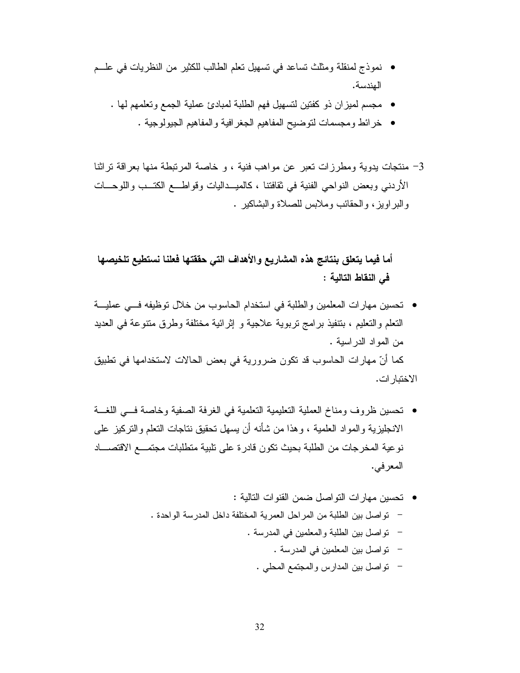- نموذج لمنقلة ومثلث نساعد في نسهيل نعلم الطالب للكثير من النظريات في علــم الهندسة.
	- مجسم لميز ان ذو كفتين لتسهيل فهم الطلبة لمبادئ عملية الجمع وتعلمهم لها .
		- خرائط ومجسمات لنوضيح المفاهيم الجغرافية والمفاهيم الجيولوجية .
- 3– منتجات يدوية ومطرزات تعبر عن مواهب فنية ، و خاصة المرتبطة منها بعراقة تراثنا الأردنبي وبعض النواحي الفنية في ثقافتنا ، كالميــداليات وقواطـــع الكتــب واللوحـــات والبراويز، والحقائب وملابس للصلاة والبشاكير .

أما فيما يتعلق بنتائج هذه المشاريع والأهداف التي حققتها فعلنا نستطيع تلخيصها في النقاط التالية :

- تحسين مهارات المعلمين والطلبة في استخدام الحاسوب من خلال توظيفه فـــي عمليـــة النعلم والنعليم ، بتنفيذ برامج نربوية علاجية و إثرائية مختلفة وطرق متنوعة في العديد من المواد الدر اسبة . كما أنّ مهارات الحاسوب قد نكون ضرورية في بعض الحالات لاستخدامها في نطبيق الاختبار ات.
- تحسين ظروف ومناخ العملية التعليمية التعلمية في الغرفة الصفية وخاصة فسى اللغسة الانجليزية والمواد العلمية ، وهذا من شأنه أن يسهل تحقيق نتاجات النعلم والنركيز على نوعية المخرجات من الطلبة بحيث نكون قادرة على نلبية منطلبات مجتمـــع الاقتصــــاد المعر في.
	- تحسين مهار ات التو اصل ضمن القنو ات التالية : – تو اصل بين الطلبة من المر احل العمر ية المختلفة داخل المدر سة الو احدة . – تواصل بين الطلبة والمعلمين في المدرسة . – تواصل بين المعلمين في المدرسة . – نو اصل بين المدارس و المجتمع المحلي .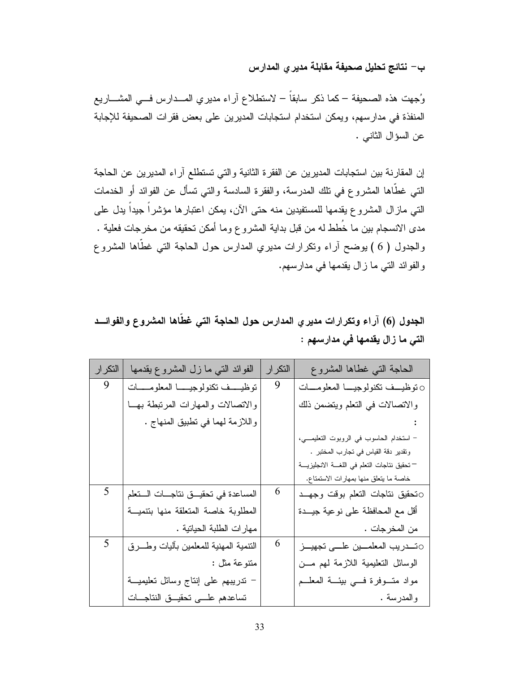# ب– نتائج تحليل صحيفة مقابلة مديرى المدارس

وُجهت هذه الصحيفة – كما ذكر سابقاً – لاستطلاع آراء مديري المـــدارس فـــي المشــــاريع المنفذة في مدارسهم، ويمكن استخدام استجابات المديرين على بعض فقرات الصحيفة للإجابة عن السؤال الثاني .

إن المقارنة بين استجابات المديرين عن الفقرة الثانية والتي تستطلع آراء المديرين عن الحاجة النَّبي غطَّاها المشروع في نلك المدرسة، والفقرة السادسة والنِّبي نسأل عن الفوائد أو الخدمات التي مازال المشروع يقدمها للمستفيدين منه حتى الآن، يمكن اعتبارها مؤشراً جيداً يدل على مدى الانسجام بين ما خُطط له من قبل بداية المشروع وما أمكن تحقيقه من مخرجات فعلية . والجدول ( 6 ) يوضح أراء ونكرارات مديري المدارس حول الحاجة التي غطَّاها المشروع والفوائد التي ما زال يقدمها في مدارسهم.

# الجدول (6) آراء وتكرارات مديري المدارس حول الحاجة التي غطَّاها المشروع والفوائـــد التي ما زال يقدمها في مدارسهم :

| التكرار | الفوائد النبي ما زل المشروع يقدمها    | التكر ار | الحاجة التبى غطاها المشروع                  |
|---------|---------------------------------------|----------|---------------------------------------------|
| 9       | نوظيف تكنولوجيا المعلومسات            | 9        | 0 نوظيــف نكنولوجيــا المعلومـــات          |
|         | والاتصالات والمهارات المرنبطة بهسا    |          | والاتصالات في التعلم ويتضمن ذلك             |
|         | واللازمة لهما في تطبيق المنهاج .      |          |                                             |
|         |                                       |          | - استخدام الحاسوب في الروبوت التعليمـــي،   |
|         |                                       |          | وتقدير دقة القياس في تجارب المختبر .        |
|         |                                       |          | — تحقيق نتاجات التعلم في اللغسة الانجليزيسة |
|         |                                       |          | خاصة ما يتعلق منها بمهارات الاستمتاع.       |
| 5       | المساعدة فى تحقيق نتاجات الستعلم      | 6        | تحقيق نتاجات التعلم بوقت وجهد               |
|         | المطلوبة خاصة المتعلقة منها بتتمية    |          | أقل مع المحافظة على نوعية جيـــدة           |
|         | مهارات الطلبة الحياتية .              |          | من المخرجات .                               |
| 5       | النتمية المهنية للمعلمين بأليات وطـرق | 6        | ⊙تـــدريب المعلمـــين علـــى تجهيـــز       |
|         | متنوعة مثل :                          |          | الوسائل التعليمية اللازمة لهم من            |
|         | – ندريبهم على إنتاج وسائل تعليميـــة  |          | مواد متوفرة فسي بيئة المعلــم               |
|         | تساعدهم علمى تحقيق النتاجات           |          | والمدرسة .                                  |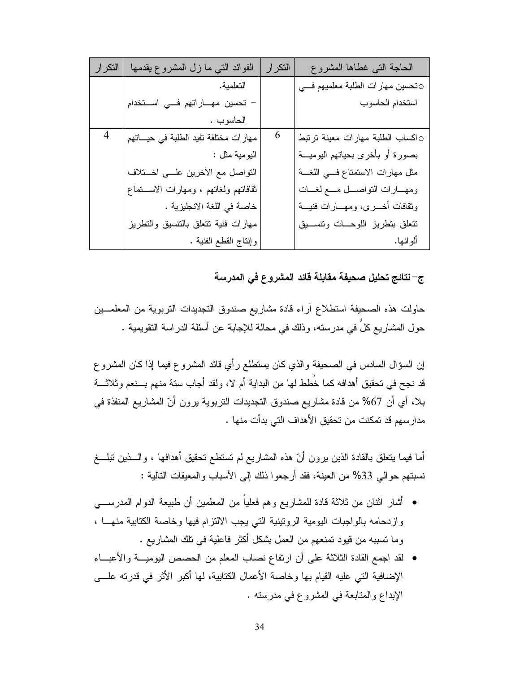| التكرار        | الفوائد النبي ما زل المشروع يقدمها     | التكرار | الحاجة التبى غطاها المشروع         |
|----------------|----------------------------------------|---------|------------------------------------|
|                | التعلمية.                              |         | ⊙تحسين مهارات الطلبة معلميهم فسي   |
|                | تحسين مهـاراتهم فــي اســتخدام         |         | استخدام الحاسوب                    |
|                | الحاسوب .                              |         |                                    |
| $\overline{4}$ | مهارات مختلفة تفيد الطلبة في حيـــاتهم | 6       | 0اكساب الطلبة مهارات معينة نرتبط   |
|                | اليومية مثل :                          |         | بصورة أو بأخرى بحياتهم اليوميـــة  |
|                | التواصل مع الأخرين علـــى اخـــتلاف    |         | مثل مهارات الاستمتاع فسي اللغسة    |
|                | ثقافاتهم ولغاتهم ، ومهارات الاستماع    |         | ومهــارات النواصـــل مـــع لغـــات |
|                | خاصة في اللغة الانجليزية .             |         | وثقافات أخسرى، ومهسارات فنيسة      |
|                | مهارات فنية نتعلق بالننسيق والنطريز    |         | نتعلق بنطريز اللوحسات ونتسسيق      |
|                | وإنتاج القطع الفنية .                  |         | ألو انـها.                         |

ج–نتائج تحليل صحيفة مقابلة قائد المشروع في المدرسة

حاولت هذه الصحيفة استطلاع أراء قادة مشاريع صندوق التجديدات التربوية من المعلمـــين حول المشاريع كلٍّ في مدرسته، وذلك في محالة للإجابة عن أسئلة الدراسة النقويمية .

إن السؤال السادس في الصحيفة والذي كان بستطلع رأي قائد المشروع فيما إذا كان المشروع قد نجح في تحقيق أهدافه كما خُطط لها من البداية أم لا، ولقد أجاب ستة منهم بـــنعم وثلاثـــة بلا، أي أن 67% من قادة مشاريع صندوق التجديدات النربوية يرون أنّ المشاريع المنفذة في مدار سهم قد تمكنت من تحقيق الأهداف التي بدأت منها .

أما فيما ينعلق بالقادة الذين برون أنّ هذه المشاريع لم تستطع تحقيق أهدافها ، والـــذين نبلـــغ نسبتهم حوالى 33% من العينة، فقد أرجعوا ذلك إلى الأسباب والمعيقات النالية :

- أشار اثنان من ثلاثة قادة للمشاريع وهم فعلياً من المعلمين أن طبيعة الدوام المدرســـي وازدحامه بالواجبات اليومية الرونينية التي يجب الالتزام فيها وخاصة الكتابية منهــا ، وما نسببه من فيود نمنعهم من العمل بشكل أكثر فاعلية في نلك المشاريع .
- لقد اجمع القادة الثلاثة على أن ارتفاع نصاب المعلم من الحصص اليوميـــة والأعبـــاء الإضافية التي عليه القيام بها وخاصة الأعمال الكتابية، لها أكبر الأثر في قدرته علــي الإبداع والمنابعة في المشروع في مدرسته .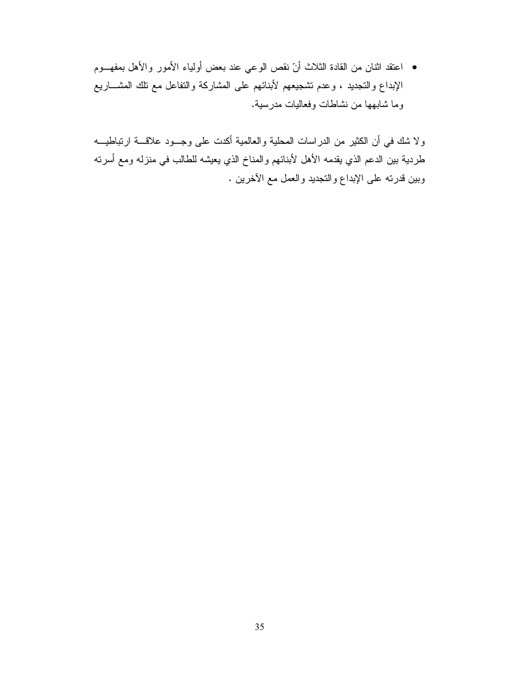• اعتقد اثنان من القادة الثلاث أنّ نقص الوعي عند بعض أولياء الأمور والأهل بمفهـــوم الإبداع والنجديد ، وعدم تشجيعهم لأبنائهم على المشاركة والنفاعل مع نلك المشـــاريع وما شابهها من نشاطات وفعاليات مدرسية.

ولا شك في أن الكثير من الدراسات المحلية والعالمية أكدت على وجــود علاقـــة ارتباطيـــه طردية بين الدعم الذي يقدمه الأهل لأبنائهم والمناخ الذي يعيشه للطالب في منزله ومع أسرته وبين قدرته على الإبداع والتجديد والعمل مع الأخرين .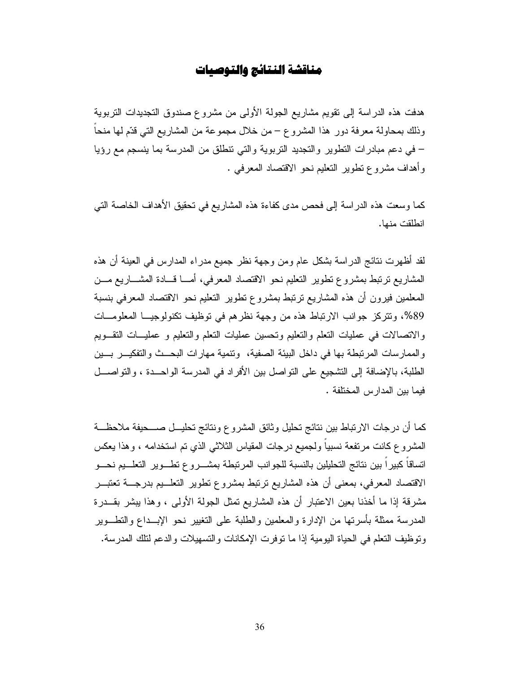# مناقشة النتائج والتوصيات

هدفت هذه الدراسة إلى نقويم مشاريع الجولة الأولى من مشروع صندوق التجديدات التربوية وذلك بمحاولة معرفة دور هذا المشروع – من خلال مجموعة من المشاريع التي قدّم لها منحاً – في دعم مبادرات النطوير والنجديد النربوية والتي نتطلق من المدرسة بما ينسجم مع رؤيا وأهداف مشروع نظوير التعليم نحو الاقتصاد المعرفي .

كما وسعت هذه الدراسة إلى فحص مدى كفاءة هذه المشاريع في تحقيق الأهداف الخاصة التي انطلقت منها.

لقد أظهرت نتائج الدراسة بشكل عام ومن وجهة نظر جميع مدراء المدارس في العينة أن هذه المشاريع نرتبط بمشروع نطوير النعليم نحو الاقتصاد المعرفي، أمـــا قـــادة المشـــاريـع مـــن المعلمين فيرون أن هذه المشاريع نرنبط بمشروع نطوير النعليم نحو الاقتصاد المعرفي بنسبة 89%، ونتركز جوانب الارتباط هذه من وجهة نظرهم في توظيف نكنولوجيــا المعلومـــات والانصالات في عمليات النعلم والنعليم ونحسين عمليات النعلم والنعليم و عمليـــات النقـــويم والممارسات المرتبطة بها في داخل البيئة الصفية، ونتمية مهارات البحــث والتفكيـــر بـــين الطلبة، بالإضافة إلى التشجيع على التواصل بين الأفراد في المدرسة الواحــدة ، والتواصـــل فيما بين المدارس المختلفة .

كما أن درجات الارتباط بين نتائج تحليل وثائق المشروع ونتائج تحليـــل صــــحيفة ملاحظـــة المشروع كانت مرتفعة نسبياً ولجميع درجات المقياس الثلاثي الذي نم استخدامه ، وهذا يعكس اتساقاً كبيراً بين نتائج التحليلين بالنسبة للجوانب المرتبطة بمشـــروع تطـــوير التعلـــيم نحـــو الاقتصاد المعرفي، بمعنى أن هذه المشاريع ترتبط بمشروع تطوير التعلـــيم بدرجـــة تعتبـــر مشرقة إذا ما أخذنا بعين الاعتبار أن هذه المشاريع تمثل الجولة الأولى ، وهذا يبشر بقــدرة المدرسة ممثلة بأسرتها من الإدارة والمعلمين والطلبة على التغيير نحو الإبــداع والنطـــوير وتوظيف النعلم في الحياة اليومية إذا ما توفرت الإمكانات والتسهيلات والدعم لتلك المدرسة.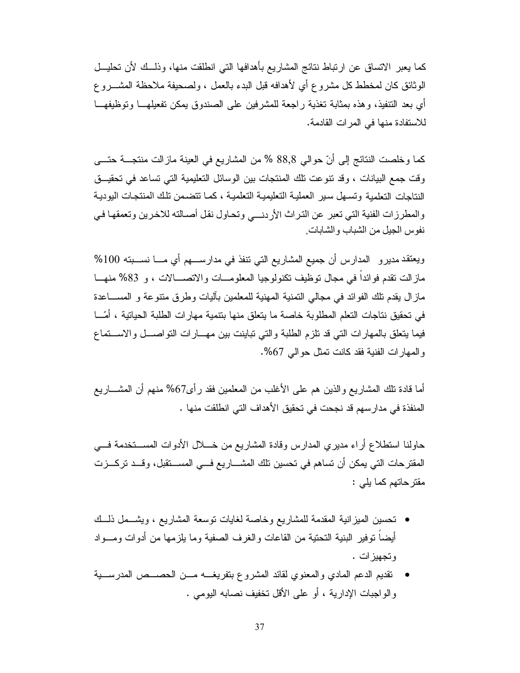كما يعبر الاتساق عن ارتباط نتائج المشاريع بأهدافها التى انطلقت منها، وذلـــك لأن تحليـــل الوثائق كان لمخطط كل مشروع أي لأهدافه قبل البدء بالعمل ، ولصحيفة ملاحظة المشــــروع أي بعد التنفيذ، وهذه بمثابة تغذية راجعة للمشرفين على الصندوق بمكن تفعيلهـــا وتوظيفهـــا للاستفادة منها في المر ات القادمة.

كما وخلصت النتائج إلى أنّ حوالي 88,8 % من المشاريع في العينة مازالت منتجـــة حتـــي وفت جمع البيانات ، وقد نتوعت تلك المنتجات بين الوسائل التعليمية التي تساعد في تحقيــق النتاجات التعلمبة وتسهل سير العملية التعليمية التعلمية ، كمـا تتضـمن تلك المنتجات اليوديـة والمطرزات الفنية التي تعبر عن التراث الأردني وتحاول نقل أصبالته للاخرين وتعمقها في نفوس الجيل من الشباب و الشابات ِ

ويعتقد مديرو المدارس أن جميع المشاريع التي نتفذ في مدارســـهم أي مــــا نســـبته 100% مازالت نقدم فوائداً في مجال توظيف نكنولوجيا المعلومــات والانصـــالات ، و 83% منهــا ماز ال يقدم تلك الفوائد في مجالي النمنية المهنية للمعلمين بآليات وطرق منتوعة و المســـاعدة في تحقيق نتاجات النعلم المطلوبة خاصة ما يتعلق منها بنتمية مهارات الطلبة الحياتية ، أمّـــا فيما يتعلق بالمهارات التي قد نلزم الطلبة والتي نباينت بين مهـــارات النواصــــل والاســــتماع والمهارات الفنية فقد كانت تمثل حوالي 67%.

أما قادة نلك المشاريع والذين هم على الأغلب من المعلمين فقد رأى67% منهم أن المشــــاريع المنفذة في مدارسهم قد نجحت في تحقيق الأهداف التي انطلقت منها .

حاولنا استطلاع أراء مديري المدارس وفادة المشاريع من خـــلال الأدوات المســـتخدمة فــــي المقترحات التي يمكن أن تساهم في تحسين تلك المشـــاريع فـــي المســـتقبل، وقـــد تركـــزت مقترحاتهم كما يلي :

- تحسين الميز انية المقدمة للمشاريع وخاصة لغايات توسعة المشاريع ، ويشـــمل ذلـــك أيضا نوفير البنية التحتية من القاعات والغرف الصفية وما يلزمها من أدوات ومسواد وتجهيزات .
- تقديم الدعم المادي والمعنوي لقائد المشروع بتفريغــه مـــن الحصـــص المدرســـية و الو اجبات الإدارية ، أو على الأقل تخفيف نصابه اليومي .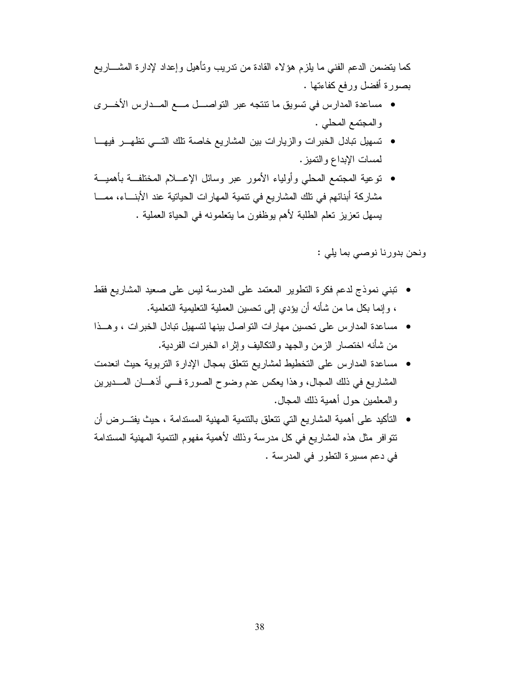كما يتضمن الدعم الفنى ما يلزم هؤلاء القادة من ندريب ونـأهيل وإعداد لإدارة المشــــاريـع بصورة أفضل ورفع كفاءتها .

- مساعدة المدارس في نسويق ما نتنجه عبر النواصـــل مـــع المـــدارس الأخـــرى والمجتمع المحلي .
- تسهيل نبادل الخبرات والزيارات بين المشاريع خاصة تلك التسى تظهــر فيهــا لمسات الإبداع والتميز .
- توعية المجتمع المحلي وأولياء الأمور عبر وسائل الإعـــلام المختلفــة بأهميـــة مشاركة أبنائهم في تلك المشار يع في تتمية المهار ات الحياتية عند الأبنــــاء، ممــــا يسهل نعز بز تعلم الطلبة لأهم بوظفون ما يتعلمونه في الحياة العملية .

ونحن بدورنا نوصبي بما يلي :

- نبني نموذج لدعم فكرة النطوير المعتمد على المدرسة ليس على صعيد المشاريع فقط ، وإنما بكل ما من شأنه أن يؤدي إلى نحسين العملية التعليمية التعلمية.
- مساعدة المدارس على تحسين مهارات التواصل بينها لتسهيل تبادل الخبرات ، وهــذا من شأنه اختصار الزمن والجهد والنكاليف وإثراء الخبرات الفردية.
- مساعدة المدارس على التخطيط لمشاريع نتعلق بمجال الإدارة التربوية حيث انعدمت المشاريع في ذلك المجال، وهذا يعكس عدم وضوح الصورة فسي أذهـــان المـــديرين والمعلمين حول أهمية ذلك المجال.
- التأكيد على أهمية المشار يع التي تتعلق بالتنمية المهنية المستدامة ، حيث يفتـــر ض أن تتوافر مثل هذه المشاريع في كل مدرسة وذلك لأهمية مفهوم التنمية المهنية المستدامة في دعم مسير ة النظور في المدرسة .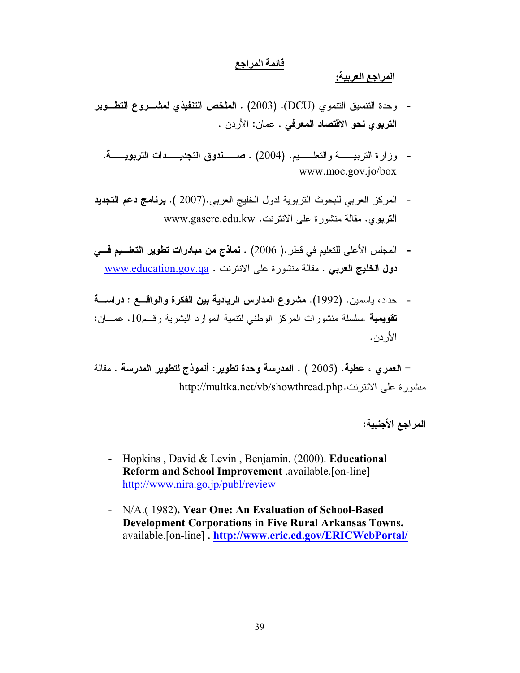# قائمة المراجع

المراجع العربية:

- وحدة التنسيق التتموي (DCU). (2003) . العلخص التنفيذي لمشـــروع التطـــوير التربوي نحو الاقتصاد المعرفي . عمان: الأردن .
	- وزارة التربيسة والتعليب (2004) . صعفوق التجديسة التربويسة. www.moe.gov.jo/box
- المركز العربي للبحوث النربوية لدول الخليج العربي.(2007 ). **برنامج دعم التجديد** التربوي. مقالة منشورة على الانترنت. www.gaserc.edu.kw
- المجلس الأعلى للتعليم في قطر .( 2006) . نماذج من مبادرات تطوير التعلييم في دول الخليج العربي . مقالة منشورة على الانترنت . www.education.gov.qa
- حداد، باسمين. (1992). مشروع المدارس الريادية بين الفكرة والواقـــع : دراســـة  $\sim$   $\sim$ تقويمية .سلسلة منشور ات المركز الوطني لنتمية الموارد البشرية رقـم10. عصـان: الأر دن.

– العمر ي ، عطية. (2005 ) . المدرسة وحدة تطوير: أنموذج لتطوير المدرسة . مقالة منشورة على الانترنت.http://multka.net/vb/showthread.php

ا<u>لمراجع الأجنبية:</u>

- Hopkins, David & Levin, Benjamin. (2000). Educational  $\sim$   $-$ Reform and School Improvement available [on-line] http://www.nira.go.jp/publ/review
- N/A. (1982). Year One: An Evaluation of School-Based **Development Corporations in Five Rural Arkansas Towns.** available.[on-line].http://www.eric.ed.gov/ERICWebPortal/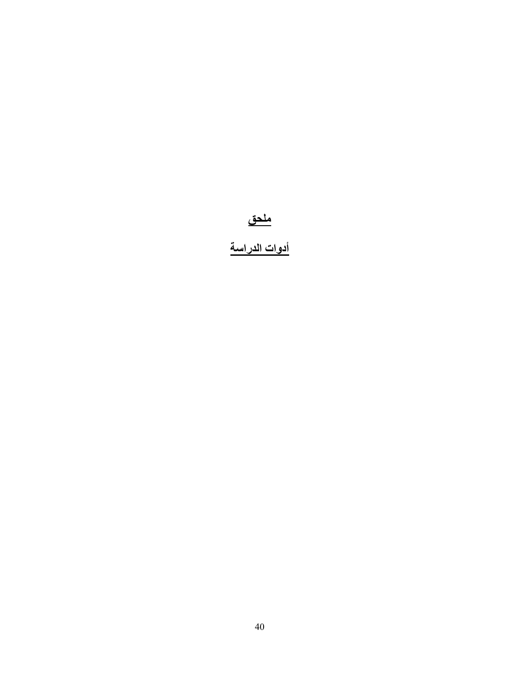# <u>ملحق</u><br>أدوات الدراسة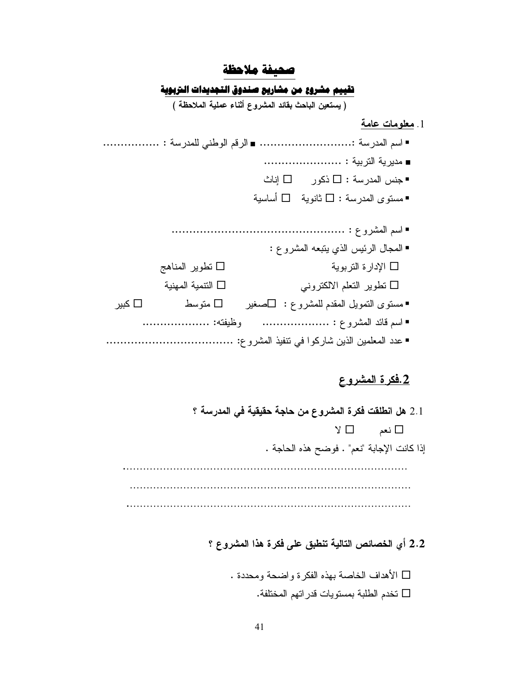# صحيفة ملاحظة

# تقييم مشروع من مشاريع صندوق التجديدات التربوية

(يستعين الباحث بقائد المشروع أثناء عملية الملاحظة )

## 1. معلومات عامة

- -
	- جنس المدرسة :  $\square$  ذكور  $\square$  إناث
	- ■مستوى المدرسة : □ ثانوية □ أساسية
- ■ المجال الرئيس الذي يتبعه المشرو ع : □ الإدار ة النز بوبة □ نطوير المناهج □ النتمبة المهنبة تطوير التعلم الالكتروني  $\square$ متو سط  $\Box$ ■ مستوى النمويل المقدم للمشروع : □صغير □ کبیر ■ اسم قائد المشروع : ..................... وظيفته: ........................

# <u>2.فكرة المشروع</u>

- 2.1 هل انطلقت فكرة المشروع من حاجة حقيقية في المدرسة ؟  $\vee$   $\Box$  نعم  $\Box$   $\vee$ إذا كانت الإجابة "نعم" . فوضح هذه الحاجة .
	- 2.2 أي الخصائص التالية تنطبق على فكرة هذا المشروع ؟
		- □ الأهداف الخاصة بهذه الفكر ة و اضحة ومحددة . نخدم الطلبة بمستويات قدر اتهم المختلفة.  $\Box$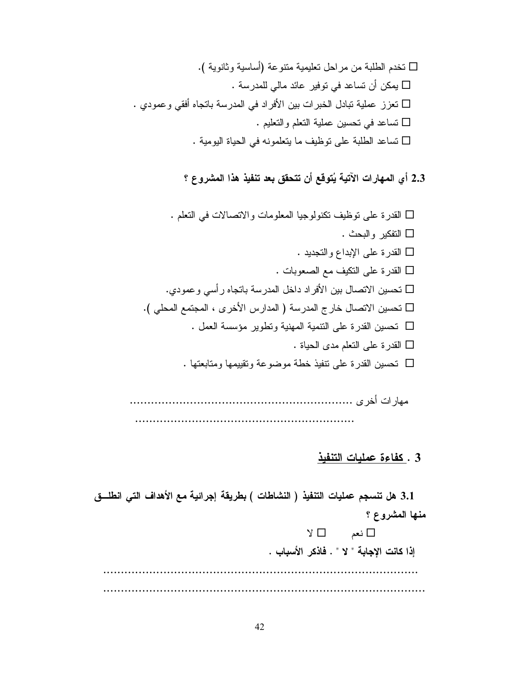GR / ""%Q + 9 ) 6!-G " . + .+"9%9-G + .(%B" . 9- ! + ;;-G 6 6 + 9".+"-G : .S # 7E+ ) +"-

2.3 أي المهارات الآتية يُتوقع أن تتحقق بعد تنفيذ هذا المشروع ؟

G 6 .-50 5 - # 7E+ :( -G D -G 3 A E+ :( -G -0 \* # E+ :( -G + ."% B" ! 90 5 9"-GR . \* C F ! Q " U! 0 5 9"-G ""- ) E+ :( 9" -G : F 6 E+ :( -G ( +M )! E+ :( 9" -

GGGGGGGGGGGGGGGGGGGGGGGGGGGGGGGGGGGGGGGGGGGGGGGGGGGGGGGGGGGGGGG F !%- GGGGGGGGGGGGGGGGGGGGGGGGGGGGGGGGGGGGGGGGGGGGGGGGGGGGGGGGGGGGGG

# 3 . كفاءة عمليات التنفيذ

3.1 هل تنسجم عمليات التنفيذ ( النشاطات ) بطريقة إجرائية مع الأهداف التي انطلـــق منـها المشروع ؟  $\Box$  نعم  $\Box$  لا إذا كانت الإجابة " لا " . فاذكر الأسباب . GGGGGGGGGGGGGGGGGGGGGGGGGGGGGGGGGGGGGGGGGGGGGGGGGGGGGGGGGGGGGGGGGGGGGGGGGGGGGGGGGGGGGGGGG GGGGGGGGGGGGGGGGGGGGGGGGGGGGGGGGGGGGGGGGGGGGGGGGGGGGGGGGGGGGGGGGGGGGGGGGGGGGGGGGGGGGGGGGGGG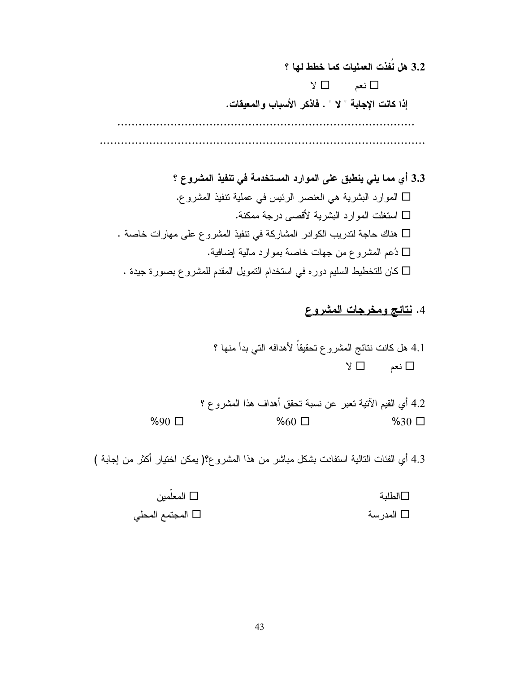3.2 هل نُفذت العمليات كما خطط لها ؟  $\Box$  نعم  $Y \Box$ إذا كانت الإجابة " لا " . فاذكر الأسباب والمعيقات. 

3.3 أي مما يلي ينطبق على الموارد المستخدمة في تنفيذ المشروع ؟ □ الموارد البشرية هي العنصر الرئيس في عملية نتفيذ المشروع. □ استغلت المو ار د البشر بـة لأقصـبي در جـة ممكنـة. هناك حاجة لتدريب الكوادر المشاركة في تتفيذ المشروع على مهارات خاصة . ذعم المشروع من جهات خاصة بموارد مالية إضافية.  $\Box$  $\Box$  كان للتخطيط السليم دوره في استخدام النمويل المقدم للمشروع بصورة جيدة .

4. نتائج ومخرجات المشروع

4.1 هل كانت نتائج المشروع تحقيقاً لأهدافه التي بدأ منها ؟  $\sqrt{a}$ نعم □ لا

4.2 أي القيم الآتية تعبر عن نسبة تحقق أهداف هذا المشروع ؟  $%90$   $\Box$  $%60$   $\square$  $%30$   $\square$ 

4.3 أي الفئات التالية استفادت بشكل مباشر من هذا المشروع؟( بمكن اختيار أكثر من إجابة )

المعلّمبن $\Box$ □الطلدة □ المجتمع المحلي □ المدر سة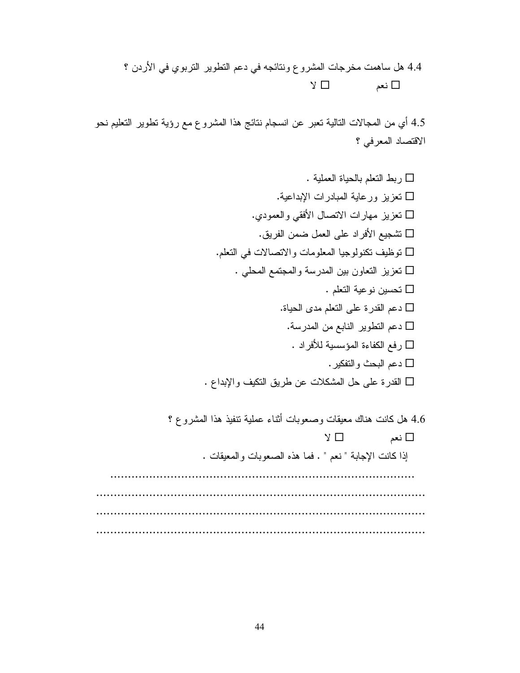4.4 هل ساهمت مخرجات المشروع ونتائجه في دعم النطوير النربوي في الأردن ؟  $\Box$  نعم  $\Box$  لا

4.5 أي من المجالات التالية نعبر عن انسجام نتائج هذا المشرو ع مع رؤية نطوير النعليم نحو الاقتصاد المعرفي ؟

G : 6 ) -G+ A - + ;;-G .( 0 5 - ;;-G1 9M E+ \*-G6 .-50 5 - # 7-G . \* " 99 ;;-G 6 +9"-G: F 6 E+ :( 6+ -G" 9 \* ) 6+ -G j ""- :& \* -G D 6+ -G 3 A # 1) 9+ -2 E+ :( -

4.6 هل كانت هناك معيقات وصعوبات أثناء عملية نتفيذ هذا المشروع ؟  $\Box$  نعم  $\Box$  لا إذا كانت الإجابة " نعم " . فما هذه الصعوبات والمعيقات . GGGGGGGGGGGGGGGGGGGGGGGGGGGGGGGGGGGGGGGGGGGGGGGGGGGGGGGGGGGGGGGGGGGGGGGGGGGGGGGGGGGGGG GGGGGGGGGGGGGGGGGGGGGGGGGGGGGGGGGGGGGGGGGGGGGGGGGGGGGGGGGGGGGGGGGGGGGGGGGGGGGGGGGGGGGGGGGGGGG GGGGGGGGGGGGGGGGGGGGGGGGGGGGGGGGGGGGGGGGGGGGGGGGGGGGGGGGGGGGGGGGGGGGGGGGGGGGGGGGGGGGGGGGGGGGG GGGGGGGGGGGGGGGGGGGGGGGGGGGGGGGGGGGGGGGGGGGGGGGGGGGGGGGGGGGGGGGGGGGGGGGGGGGGGGGGGGGGGGGGGGGGG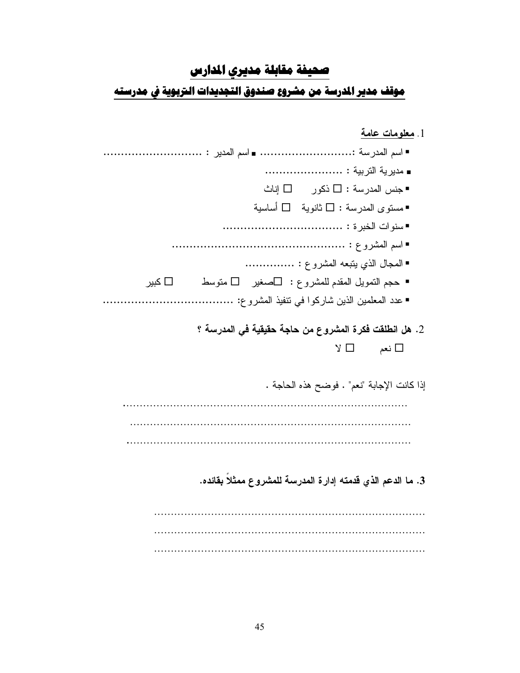# محيفة مقابلة مديرى المدارس

موقف مدير المدرسة من مشروع صندوق التجديدات التربوية فى مدرسته

| 1. <u>معلومات عامة</u>                                       |
|--------------------------------------------------------------|
|                                                              |
|                                                              |
| ■جنس المدرسة : □ ذكور □ إناث                                 |
| ■مسنوى المدرسة : □ ثانوية □ أساسية                           |
|                                                              |
|                                                              |
| ■ المجال الذي يتبعه المشروع :                                |
| ■ حجم النمويل المقدم للمشروع :   □صغير     □ منوسط<br>□ کبیر |
| ■ عدد المعلمين الذين شاركوا في نتفيذ المشرو ع:               |
|                                                              |
| 2. هل انطلقت فكرة المشروع من حاجة حقيقية في المدرسة ؟        |
| $\Box$ نعم<br>ש צ                                            |
|                                                              |
| إذا كانت الإجابة "نعم" . فوضح هذه الحاجة .                   |
|                                                              |
|                                                              |
|                                                              |
|                                                              |
| 3. ما الدعم الذي قدمته إدارة المدرسة للمشروع ممثلا بقائده.   |
|                                                              |
|                                                              |
|                                                              |
|                                                              |

i i i i i i i i i i i i i i i i i i i i i i i i i i i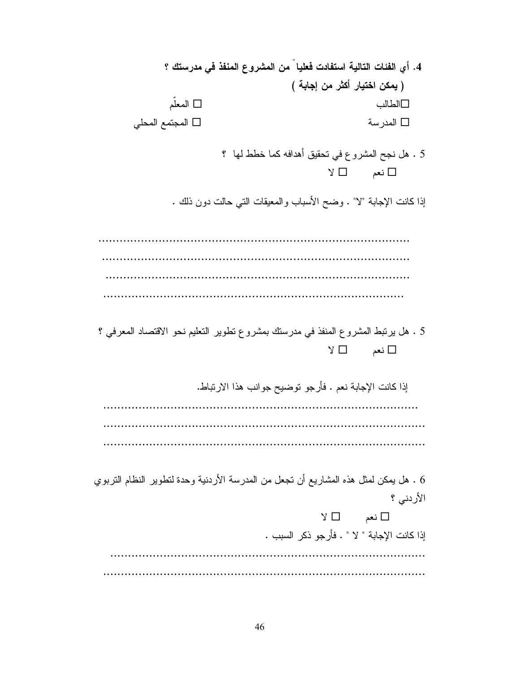4. أي الفئات التالية استفادت فعليا من المشروع المنفذ في مدرستك ؟ ( يمكن اختيار أكثر من إجابة ) ∏ المعلّم 4 ) -المجتمع المحلي $\square$  $\Box$  المدرسة  $\Box$ 5 . هل نجح المشروع في نحقيق أهدافه كما خطط لها ؟  $\Box$  نعم  $\Box$  لا إذا كانت الإجابة "لا" . وضح الأسباب والمعيقات التبي حالت دون ذلك . GGGGGGGGGGGGGGGGGGGGGGGGGGGGGGGGGGGGGGGGGGGGGGGGGGGGGGGGGGGGGGGGGGGGGGGGGGGGGGGGGGGGGGGG GGGGGGGGGGGGGGGGGGGGGGGGGGGGGGGGGGGGGGGGGGGGGGGGGGGGGGGGGGGGGGGGGGGGGGGGGGGGGGGGGGGGGGG GGGGGGGGGGGGGGGGGGGGGGGGGGGGGGGGGGGGGGGGGGGGGGGGGGGGGGGGGGGGGGGGGGGGGGGGGGGGGGGGGGGGGG GGGGGGGGGGGGGGGGGGGGGGGGGGGGGGGGGGGGGGGGGGGGGGGGGGGGGGGGGGGGGGGGGGGGGGGGGGGGGGGGGGGGG 5 . هل يرتبط المشروع المنفذ في مدرستك بمشروع نطوير النعليم نحو الاقتصاد المعرفي ؟  $\Box$  نعم  $\Box$  لا إذا كانت الإجابة نعم . فأرجو توضيح جوانب هذا الارتباط. GGGGGGGGGGGGGGGGGGGGGGGGGGGGGGGGGGGGGGGGGGGGGGGGGGGGGGGGGGGGGGGGGGGGGGGGGGGGGGGGGGGGGGGGG GGGGGGGGGGGGGGGGGGGGGGGGGGGGGGGGGGGGGGGGGGGGGGGGGGGGGGGGGGGGGGGGGGGGGGGGGGGGGGGGGGGGGGGGGGG GGGGGGGGGGGGGGGGGGGGGGGGGGGGGGGGGGGGGGGGGGGGGGGGGGGGGGGGGGGGGGGGGGGGGGGGGGGGGGGGGGGGGGGGGGG 6 . هل يمكن لمثل هذه المشاريع أن تجعل من المدرسة الأردنية وحدة لنطوير النظام النربوي الأردني ؟  $\Box$  نعم  $\Box$  لا إذا كانت الإجابة " لا " . فأرجو ذكر السبب . GGGGGGGGGGGGGGGGGGGGGGGGGGGGGGGGGGGGGGGGGGGGGGGGGGGGGGGGGGGGGGGGGGGGGGGGGGGGGGGGGGGGGGGGG GGGGGGGGGGGGGGGGGGGGGGGGGGGGGGGGGGGGGGGGGGGGGGGGGGGGGGGGGGGGGGGGGGGGGGGGGGGGGGGGGGGGGGGGGGG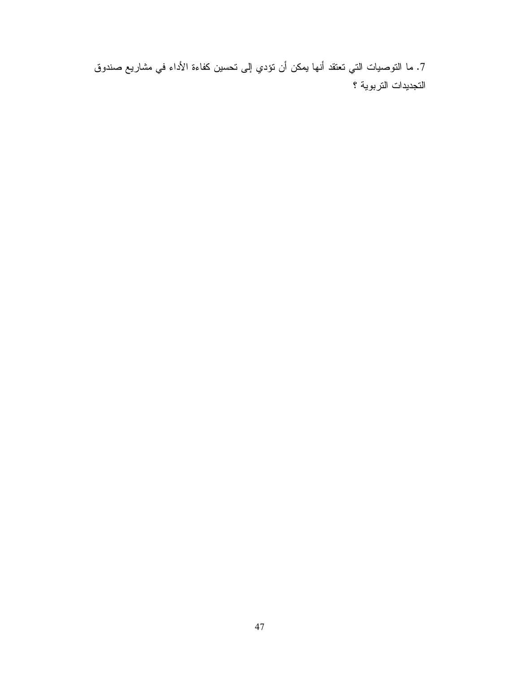7. ما النوصيات التي تعتقد أنها يمكن أن تؤدي إلى تحسين كفاءة الأداء في مشاريع صندوق التجديدات التربوية ؟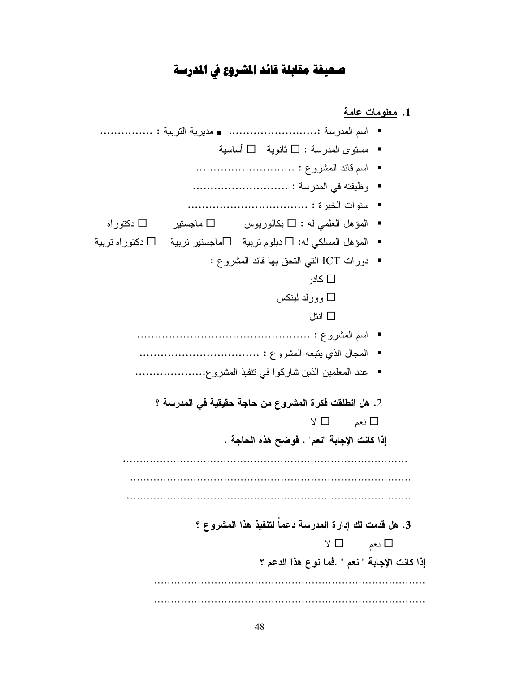# صحيفة مقابلة قائد المشروع في المدرسة

1. معلومات عامة ■ مستوى المدرسة : □ ثانوية □ أساسية ■ المؤهل العلمي له :  $\square$  بكالوريوس  $\square$  ماجستير  $\square$  دكتوراه ▪ المؤهل المسلكي له: □ دبلوم نربية □ماجستير نربية □ دكتوراه نربية ■ دورات ICT التبي النحق بـها قائد المشروع :  $\Box$  کادر وورلد لينكس  $\Box$  انتا ■ عدد المعلمين الذين شاركوا في نتفيذ المشروع:....................... 2. هل انطلقت فكرة المشروع من حاجة حقيقية في المدرسة ؟  $Y \Box$ نعم  $\square$ إذا كانت الإجابة "نعم" . فوضح هذه الحاجة . 3. هل قدمت لك إدارة المدرسة دعماً لتنفيذ هذا المشروع ؟  $Y \Box$ نعم  $\square$ إذا كانت الإجابة " نعم " .فما نوع هذا الدعم ؟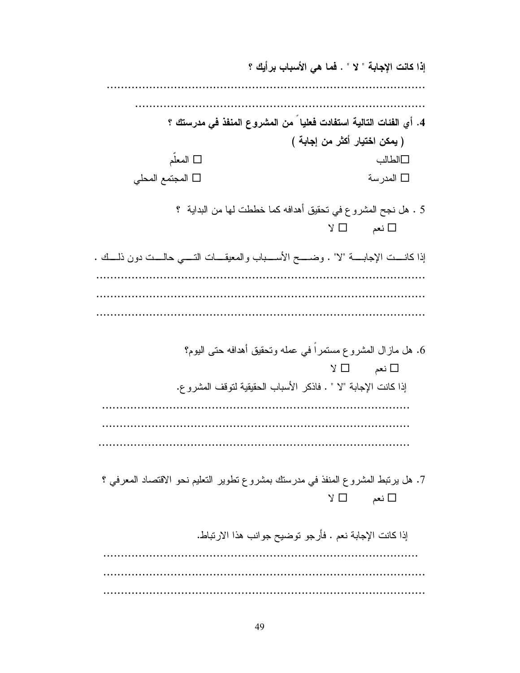إذا كانت الإجابة " لا " . فما هي الأسباب برأيك ؟ GGGGGGGGGGGGGGGGGGGGGGGGGGGGGGGGGGGGGGGGGGGGGGGGGGGGGGGGGGGGGGGGGGGGGGGGGGGGGGGGGGGGGGGGGG GGGGGGGGGGGGGGGGGGGGGGGGGGGGGGGGGGGGGGGGGGGGGGGGGGGGGGGGGGGGGGGGGGGGGGGGGGGGGGGGGG 4. أي الفئات التالية استفادت فعليا من المشروع المنفذ ف*ي* مدرستك ؟ ( يمكن اختيار أكثر من إجابة ) **□** المعلّم 4 ) -ل المجتمع المحلي  $\Box$  المدرسة  $\Box$ 5 . هل نجح المشروع في تحقيق أهدافه كما خططت لمها من البداية ؟  $\Box$  نعم  $\Box$  لا إذا كانــــت الإجابــــــة "لا" . وضــــــح الأســــباب والمعيقــــات التـــــى حالــــت دون ذلــــك . GGGGGGGGGGGGGGGGGGGGGGGGGGGGGGGGGGGGGGGGGGGGGGGGGGGGGGGGGGGGGGGGGGGGGGGGGGGGGGGGGGGGGGGGGGGGG GGGGGGGGGGGGGGGGGGGGGGGGGGGGGGGGGGGGGGGGGGGGGGGGGGGGGGGGGGGGGGGGGGGGGGGGGGGGGGGGGGGGGGGGGGGGG 6. هل مازال المشروع مستمرا في عمله وتحقيق أهدافه حتى اليوم؟  $\Box$  نعم  $\Box$  لا إذا كانت الإجابة "لا " . فاذكر الأسباب الحقيقية لتوقف المشرو ع. GGGGGGGGGGGGGGGGGGGGGGGGGGGGGGGGGGGGGGGGGGGGGGGGGGGGGGGGGGGGGGGGGGGGGGGGGGGGGGGGGGGGGGG 7. هل برنبط المشروع المنفذ في مدرستك بمشروع نطوير النعليم نحو الاقتصاد المعرفي ؟  $\Box$  نعم  $\Box$  لا إذا كانت الإجابة نعم . فأرجو توضيح جوانب هذا الارتباط. GGGGGGGGGGGGGGGGGGGGGGGGGGGGGGGGGGGGGGGGGGGGGGGGGGGGGGGGGGGGGGGGGGGGGGGGGGGGGGGGGGGGGGGGG GGGGGGGGGGGGGGGGGGGGGGGGGGGGGGGGGGGGGGGGGGGGGGGGGGGGGGGGGGGGGGGGGGGGGGGGGGGGGGGGGGGGGGGGGGG GGGGGGGGGGGGGGGGGGGGGGGGGGGGGGGGGGGGGGGGGGGGGGGGGGGGGGGGGGGGGGGGGGGGGGGGGGGGGGGGGGGGGGGGGGG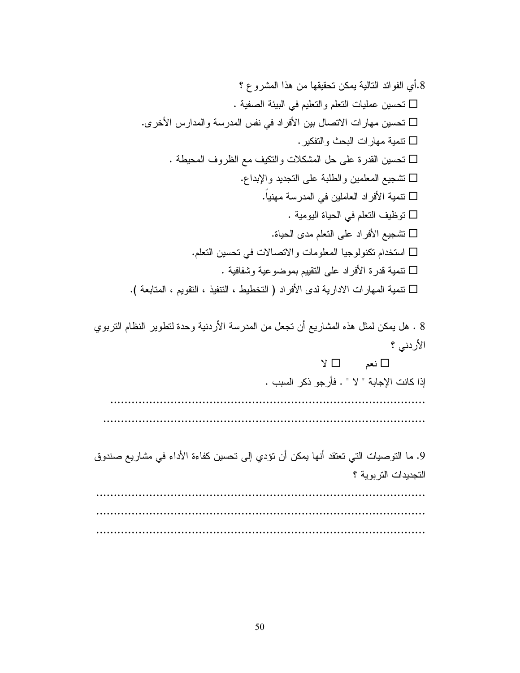P 3 \$ 9 ((9 %G G 0 .6 6 -+ 9"-GF ! " . 90 5 - 9"-G D - -G ) # 7 \* # -2 E+ :( 9"-G3 A E+ ) 9 \*-GN " .9 -G : .6 # 7-G: F 6 E+ \*-G6 9".-50 5 - 6 !" -G +M 6( E+ : -GR C 6( C C ))! Q F 5 - -

8 . هل يمكن لمثل هذه المشاريع أن تجعل من المدرسة الأردنية وحدة لنطوير النظام النربوي الأردني ؟

 $\Box$  نعم  $\Box$  لا إذا كانت الإجابة " لا " . فأرجو ذكر السبب . GGGGGGGGGGGGGGGGGGGGGGGGGGGGGGGGGGGGGGGGGGGGGGGGGGGGGGGGGGGGGGGGGGGGGGGGGGGGGGGGGGGGGGGGG GGGGGGGGGGGGGGGGGGGGGGGGGGGGGGGGGGGGGGGGGGGGGGGGGGGGGGGGGGGGGGGGGGGGGGGGGGGGGGGGGGGGGGGGGGG

9. ما التوصيات التي تعتقد أنها يمكن أن تؤدي إلى تحسين كفاءة الأداء في مشاريع صندوق التجديدات التربوية ؟ Geeseer en een een een die geggedigde GGGGGGGGGGGGGGGGGGGGGGGGGGGGGGGGGGGGGGGGGGGGGGGGGGGGGGGGGGGGGGGGGGGGGGGGGGGGGGGGGGGGGGGGGGGGG GGGGGGGGGGGGGGGGGGGGGGGGGGGGGGGGGGGGGGGGGGGGGGGGGGGGGGGGGGGGGGGGGGGGGGGGGGGGGGGGGGGGGGGGGGGGG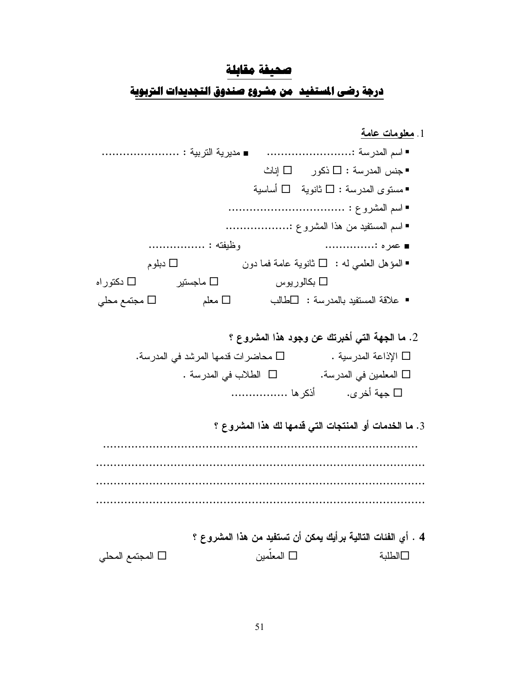# صحيفة مقابلة

# درجة رضى المستفيد ً من مشروع صندوق التجديدات التربوية

|                           |                                         |                   |                                                                            | 1. <u>معلومات عامة</u> |
|---------------------------|-----------------------------------------|-------------------|----------------------------------------------------------------------------|------------------------|
|                           |                                         |                   |                                                                            |                        |
|                           |                                         |                   | ■جنس المدرسة : □ ذكور □ إناث                                               |                        |
|                           |                                         |                   | ■مستوى المدرسة : □ ثانوية   □ أساسية                                       |                        |
|                           |                                         |                   |                                                                            |                        |
|                           |                                         |                   | ■ اسم المستفيد من هذا المشروع :                                            |                        |
|                           | وظيفته :                                |                   | ■ عمره :                                                                   |                        |
|                           | $\Box$ دبلوم                            |                   | ■ المؤهل العلمي له : □ ثانوية عامة فما دون                                 |                        |
| ماجستیر $\square$ دکتوراه |                                         | بكالور يوس $\Box$ |                                                                            |                        |
|                           |                                         |                   | علاقة المستفيد بالمدرسة : $\Box$ طالب $\Box$ معلم $\Box$ مجتمع محلي $\Box$ |                        |
|                           |                                         |                   |                                                                            |                        |
|                           |                                         |                   | 2. ما الجهة التي أخبرتك عن وجود هذا المشروع ؟                              |                        |
|                           | محاضرات قدمها المرشد في المدرسة. $\Box$ |                   |                                                                            | □ الإذاعة المدرسية .   |
|                           | □ الطلاب في المدرسة .                   |                   | □ المعلمين في المدرسة.                                                     |                        |
|                           |                                         |                   |                                                                            |                        |
|                           |                                         |                   |                                                                            |                        |
|                           |                                         |                   | 3. ما الخدمات أو المنتجات التي قدمها لك هذا المشروع ؟                      |                        |
|                           |                                         |                   |                                                                            |                        |
|                           |                                         |                   |                                                                            |                        |
|                           |                                         |                   |                                                                            |                        |
|                           |                                         |                   |                                                                            |                        |
|                           |                                         |                   |                                                                            |                        |
|                           |                                         |                   | 4 . أي الفئات التالية برأيك يمكن أن تستفيد من هذا المشروع ؟                |                        |
| □ المجتمع المحلي          |                                         | □ المعلمين        |                                                                            | □الطلبة                |